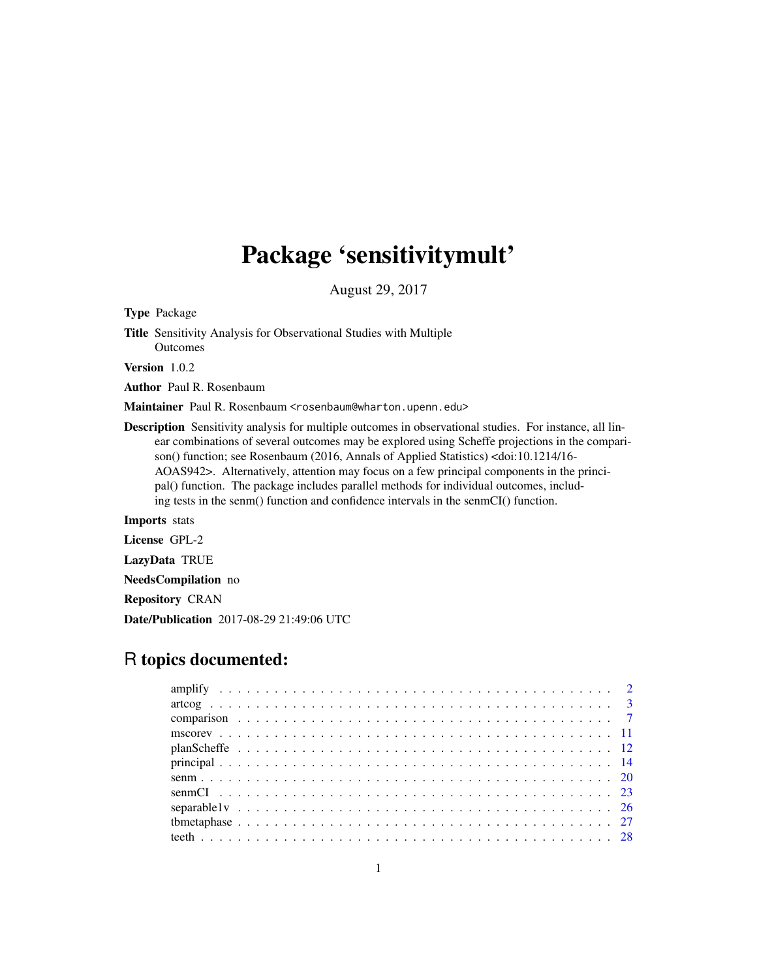# Package 'sensitivitymult'

August 29, 2017

Type Package

Title Sensitivity Analysis for Observational Studies with Multiple **Outcomes** 

Version 1.0.2

Author Paul R. Rosenbaum

Maintainer Paul R. Rosenbaum <rosenbaum@wharton.upenn.edu>

Description Sensitivity analysis for multiple outcomes in observational studies. For instance, all linear combinations of several outcomes may be explored using Scheffe projections in the comparison() function; see Rosenbaum (2016, Annals of Applied Statistics) <doi:10.1214/16- AOAS942>. Alternatively, attention may focus on a few principal components in the principal() function. The package includes parallel methods for individual outcomes, including tests in the senm() function and confidence intervals in the senmCI() function.

Imports stats

License GPL-2

LazyData TRUE

NeedsCompilation no

Repository CRAN

Date/Publication 2017-08-29 21:49:06 UTC

# R topics documented: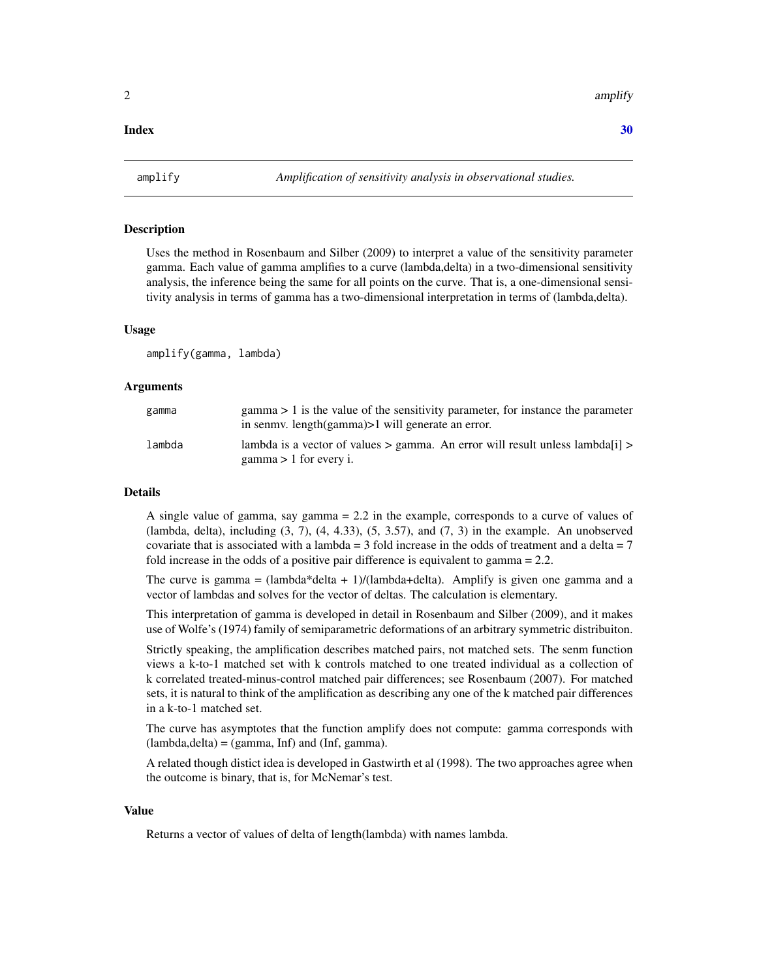# <span id="page-1-0"></span> $\bf 30$  $\bf 30$

# Description

Uses the method in Rosenbaum and Silber (2009) to interpret a value of the sensitivity parameter gamma. Each value of gamma amplifies to a curve (lambda,delta) in a two-dimensional sensitivity analysis, the inference being the same for all points on the curve. That is, a one-dimensional sensitivity analysis in terms of gamma has a two-dimensional interpretation in terms of (lambda,delta).

# Usage

amplify(gamma, lambda)

# **Arguments**

| gamma  | $gamma > 1$ is the value of the sensitivity parameter, for instance the parameter<br>in senmy. length(gamma)>1 will generate an error. |
|--------|----------------------------------------------------------------------------------------------------------------------------------------|
| lambda | lambda is a vector of values $>$ gamma. An error will result unless lambda [i] $>$<br>$gamma > 1$ for every i.                         |

# Details

A single value of gamma, say gamma = 2.2 in the example, corresponds to a curve of values of (lambda, delta), including  $(3, 7)$ ,  $(4, 4.33)$ ,  $(5, 3.57)$ , and  $(7, 3)$  in the example. An unobserved covariate that is associated with a lambda = 3 fold increase in the odds of treatment and a delta =  $7$ fold increase in the odds of a positive pair difference is equivalent to gamma = 2.2.

The curve is gamma =  $(lambda*delta+1)/(lambda+delta)$ . Amplify is given one gamma and a vector of lambdas and solves for the vector of deltas. The calculation is elementary.

This interpretation of gamma is developed in detail in Rosenbaum and Silber (2009), and it makes use of Wolfe's (1974) family of semiparametric deformations of an arbitrary symmetric distribuiton.

Strictly speaking, the amplification describes matched pairs, not matched sets. The senm function views a k-to-1 matched set with k controls matched to one treated individual as a collection of k correlated treated-minus-control matched pair differences; see Rosenbaum (2007). For matched sets, it is natural to think of the amplification as describing any one of the k matched pair differences in a k-to-1 matched set.

The curve has asymptotes that the function amplify does not compute: gamma corresponds with  $(lambda, delta) = (gamma, Inf)$  and  $(Inf, gamma)$ .

A related though distict idea is developed in Gastwirth et al (1998). The two approaches agree when the outcome is binary, that is, for McNemar's test.

# Value

Returns a vector of values of delta of length(lambda) with names lambda.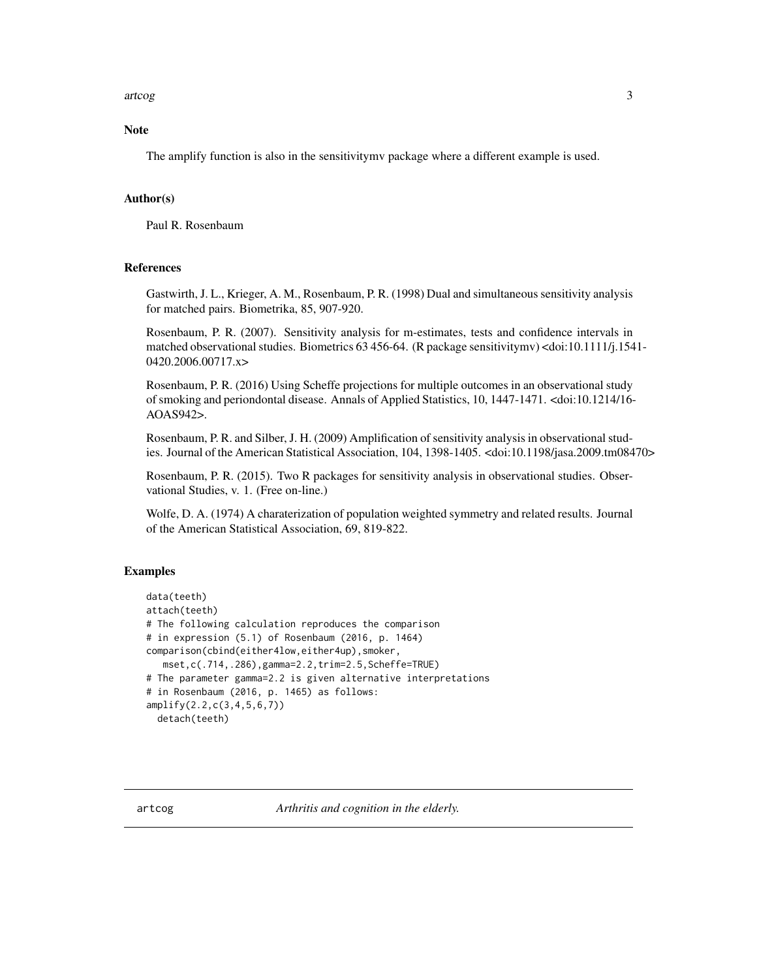# <span id="page-2-0"></span>artcog 3

# **Note**

The amplify function is also in the sensitivitymv package where a different example is used.

# Author(s)

Paul R. Rosenbaum

# References

Gastwirth, J. L., Krieger, A. M., Rosenbaum, P. R. (1998) Dual and simultaneous sensitivity analysis for matched pairs. Biometrika, 85, 907-920.

Rosenbaum, P. R. (2007). Sensitivity analysis for m-estimates, tests and confidence intervals in matched observational studies. Biometrics 63 456-64. (R package sensitivitymv) <doi:10.1111/j.1541- 0420.2006.00717.x>

Rosenbaum, P. R. (2016) Using Scheffe projections for multiple outcomes in an observational study of smoking and periondontal disease. Annals of Applied Statistics, 10, 1447-1471. <doi:10.1214/16- AOAS942>.

Rosenbaum, P. R. and Silber, J. H. (2009) Amplification of sensitivity analysis in observational studies. Journal of the American Statistical Association, 104, 1398-1405. <doi:10.1198/jasa.2009.tm08470>

Rosenbaum, P. R. (2015). Two R packages for sensitivity analysis in observational studies. Observational Studies, v. 1. (Free on-line.)

Wolfe, D. A. (1974) A charaterization of population weighted symmetry and related results. Journal of the American Statistical Association, 69, 819-822.

# Examples

```
data(teeth)
attach(teeth)
# The following calculation reproduces the comparison
# in expression (5.1) of Rosenbaum (2016, p. 1464)
comparison(cbind(either4low,either4up),smoker,
  mset,c(.714,.286),gamma=2.2,trim=2.5,Scheffe=TRUE)
# The parameter gamma=2.2 is given alternative interpretations
# in Rosenbaum (2016, p. 1465) as follows:
amplify(2.2,c(3,4,5,6,7))
 detach(teeth)
```
artcog *Arthritis and cognition in the elderly.*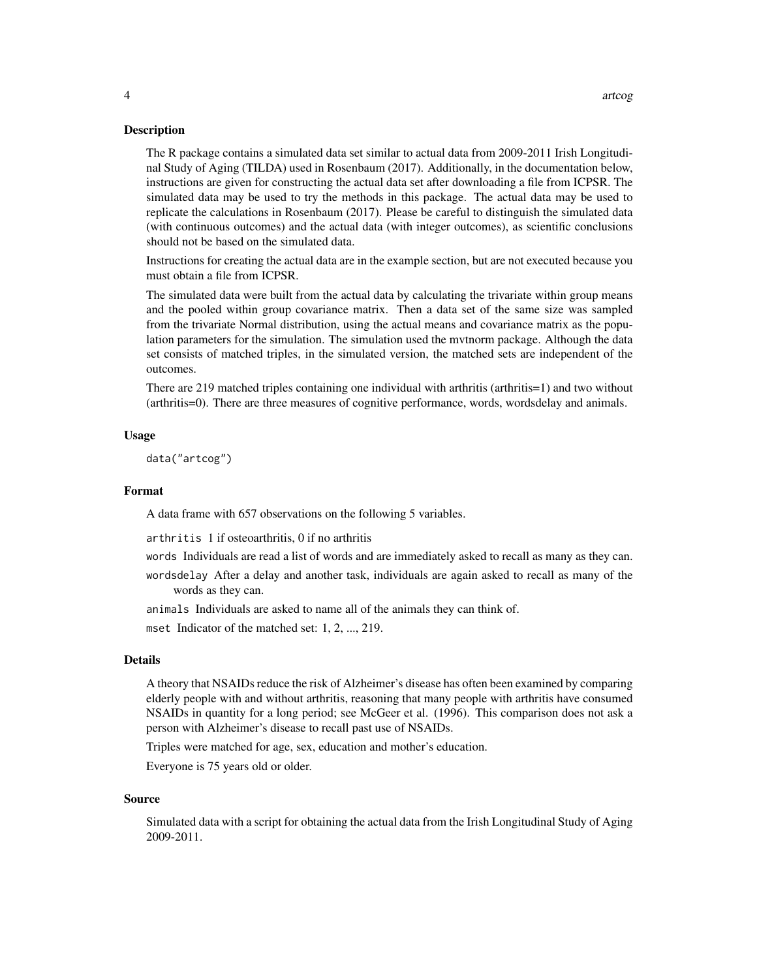# **Description**

The R package contains a simulated data set similar to actual data from 2009-2011 Irish Longitudinal Study of Aging (TILDA) used in Rosenbaum (2017). Additionally, in the documentation below, instructions are given for constructing the actual data set after downloading a file from ICPSR. The simulated data may be used to try the methods in this package. The actual data may be used to replicate the calculations in Rosenbaum (2017). Please be careful to distinguish the simulated data (with continuous outcomes) and the actual data (with integer outcomes), as scientific conclusions should not be based on the simulated data.

Instructions for creating the actual data are in the example section, but are not executed because you must obtain a file from ICPSR.

The simulated data were built from the actual data by calculating the trivariate within group means and the pooled within group covariance matrix. Then a data set of the same size was sampled from the trivariate Normal distribution, using the actual means and covariance matrix as the population parameters for the simulation. The simulation used the mvtnorm package. Although the data set consists of matched triples, in the simulated version, the matched sets are independent of the outcomes.

There are 219 matched triples containing one individual with arthritis (arthritis=1) and two without (arthritis=0). There are three measures of cognitive performance, words, wordsdelay and animals.

# Usage

data("artcog")

#### Format

A data frame with 657 observations on the following 5 variables.

arthritis 1 if osteoarthritis, 0 if no arthritis

words Individuals are read a list of words and are immediately asked to recall as many as they can.

wordsdelay After a delay and another task, individuals are again asked to recall as many of the words as they can.

animals Individuals are asked to name all of the animals they can think of.

mset Indicator of the matched set: 1, 2, ..., 219.

# Details

A theory that NSAIDs reduce the risk of Alzheimer's disease has often been examined by comparing elderly people with and without arthritis, reasoning that many people with arthritis have consumed NSAIDs in quantity for a long period; see McGeer et al. (1996). This comparison does not ask a person with Alzheimer's disease to recall past use of NSAIDs.

Triples were matched for age, sex, education and mother's education.

Everyone is 75 years old or older.

#### Source

Simulated data with a script for obtaining the actual data from the Irish Longitudinal Study of Aging 2009-2011.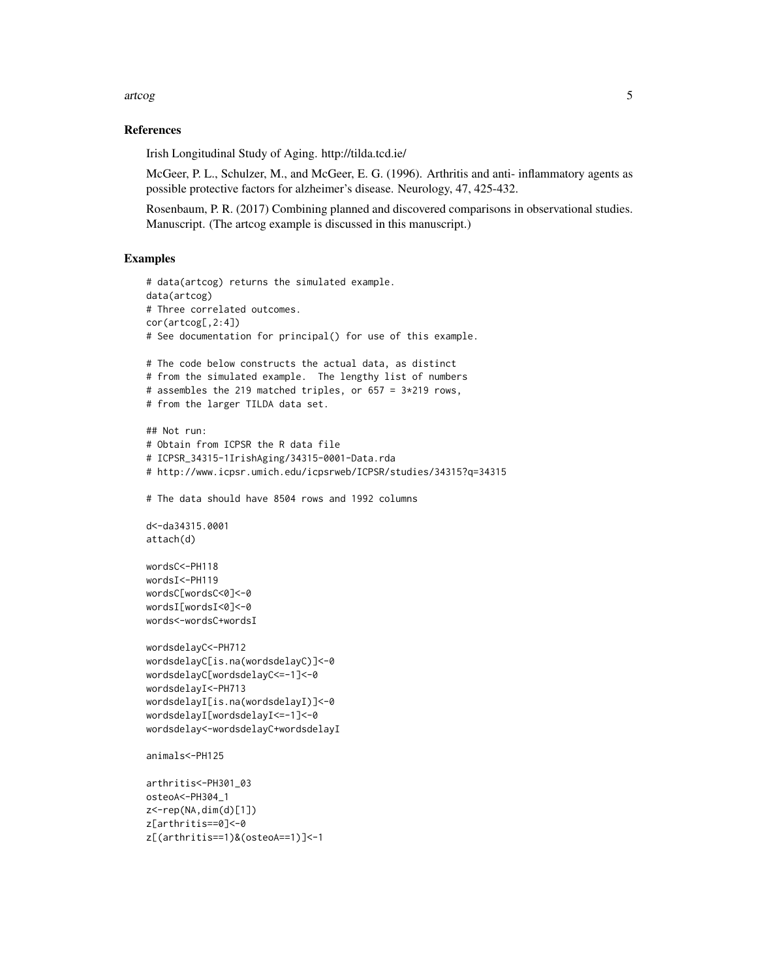# artcog **5**

# References

Irish Longitudinal Study of Aging. http://tilda.tcd.ie/

McGeer, P. L., Schulzer, M., and McGeer, E. G. (1996). Arthritis and anti- inflammatory agents as possible protective factors for alzheimer's disease. Neurology, 47, 425-432.

Rosenbaum, P. R. (2017) Combining planned and discovered comparisons in observational studies. Manuscript. (The artcog example is discussed in this manuscript.)

# Examples

```
# data(artcog) returns the simulated example.
data(artcog)
# Three correlated outcomes.
cor(artcog[,2:4])
# See documentation for principal() for use of this example.
# The code below constructs the actual data, as distinct
# from the simulated example. The lengthy list of numbers
# assembles the 219 matched triples, or 657 = 3*219 rows,
# from the larger TILDA data set.
## Not run:
# Obtain from ICPSR the R data file
# ICPSR_34315-1IrishAging/34315-0001-Data.rda
# http://www.icpsr.umich.edu/icpsrweb/ICPSR/studies/34315?q=34315
# The data should have 8504 rows and 1992 columns
d<-da34315.0001
attach(d)
wordsC<-PH118
wordsI<-PH119
wordsC[wordsC<0]<-0
wordsI[wordsI<0]<-0
words<-wordsC+wordsI
wordsdelayC<-PH712
wordsdelayC[is.na(wordsdelayC)]<-0
wordsdelayC[wordsdelayC<=-1]<-0
wordsdelayI<-PH713
wordsdelayI[is.na(wordsdelayI)]<-0
wordsdelayI[wordsdelayI<=-1]<-0
wordsdelay<-wordsdelayC+wordsdelayI
animals<-PH125
arthritis<-PH301_03
osteoA<-PH304_1
z<-rep(NA,dim(d)[1])
z[arthritis==0]<-0
z[(arthritis==1)&(osteoA==1)]<-1
```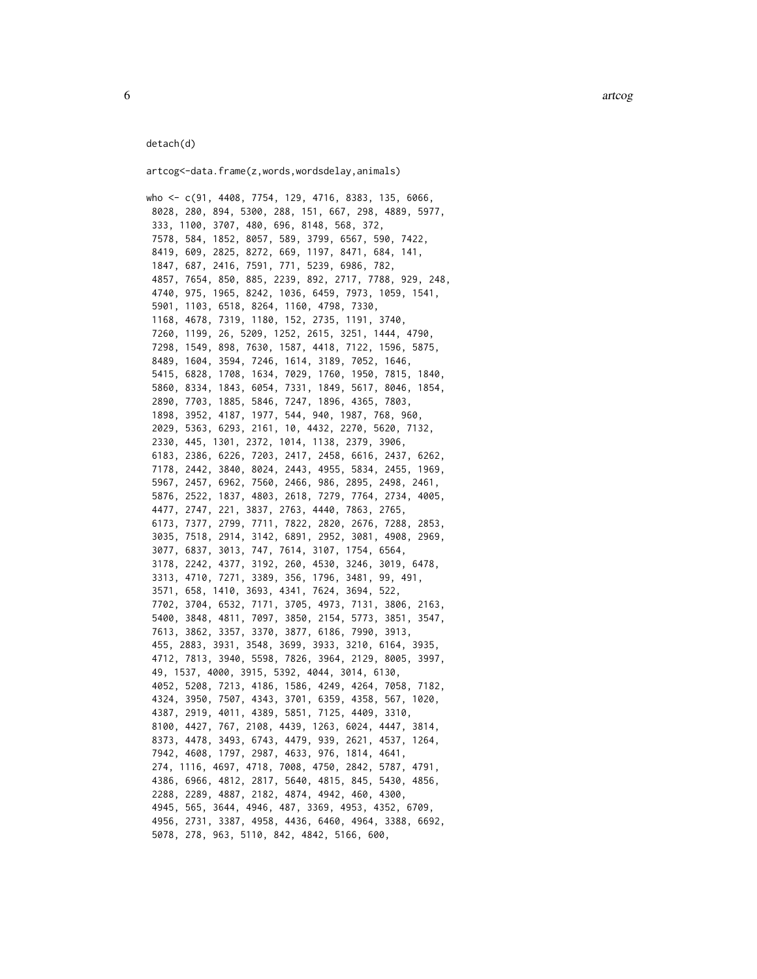6 art $\cos$ 

#### detach(d)

artcog<-data.frame(z,words,wordsdelay,animals)

who <- c(91, 4408, 7754, 129, 4716, 8383, 135, 6066, 8028, 280, 894, 5300, 288, 151, 667, 298, 4889, 5977, 333, 1100, 3707, 480, 696, 8148, 568, 372, 7578, 584, 1852, 8057, 589, 3799, 6567, 590, 7422, 8419, 609, 2825, 8272, 669, 1197, 8471, 684, 141, 1847, 687, 2416, 7591, 771, 5239, 6986, 782, 4857, 7654, 850, 885, 2239, 892, 2717, 7788, 929, 248, 4740, 975, 1965, 8242, 1036, 6459, 7973, 1059, 1541, 5901, 1103, 6518, 8264, 1160, 4798, 7330, 1168, 4678, 7319, 1180, 152, 2735, 1191, 3740, 7260, 1199, 26, 5209, 1252, 2615, 3251, 1444, 4790, 7298, 1549, 898, 7630, 1587, 4418, 7122, 1596, 5875, 8489, 1604, 3594, 7246, 1614, 3189, 7052, 1646, 5415, 6828, 1708, 1634, 7029, 1760, 1950, 7815, 1840, 5860, 8334, 1843, 6054, 7331, 1849, 5617, 8046, 1854, 2890, 7703, 1885, 5846, 7247, 1896, 4365, 7803, 1898, 3952, 4187, 1977, 544, 940, 1987, 768, 960, 2029, 5363, 6293, 2161, 10, 4432, 2270, 5620, 7132, 2330, 445, 1301, 2372, 1014, 1138, 2379, 3906, 6183, 2386, 6226, 7203, 2417, 2458, 6616, 2437, 6262, 7178, 2442, 3840, 8024, 2443, 4955, 5834, 2455, 1969, 5967, 2457, 6962, 7560, 2466, 986, 2895, 2498, 2461, 5876, 2522, 1837, 4803, 2618, 7279, 7764, 2734, 4005, 4477, 2747, 221, 3837, 2763, 4440, 7863, 2765, 6173, 7377, 2799, 7711, 7822, 2820, 2676, 7288, 2853, 3035, 7518, 2914, 3142, 6891, 2952, 3081, 4908, 2969, 3077, 6837, 3013, 747, 7614, 3107, 1754, 6564, 3178, 2242, 4377, 3192, 260, 4530, 3246, 3019, 6478, 3313, 4710, 7271, 3389, 356, 1796, 3481, 99, 491, 3571, 658, 1410, 3693, 4341, 7624, 3694, 522, 7702, 3704, 6532, 7171, 3705, 4973, 7131, 3806, 2163, 5400, 3848, 4811, 7097, 3850, 2154, 5773, 3851, 3547, 7613, 3862, 3357, 3370, 3877, 6186, 7990, 3913, 455, 2883, 3931, 3548, 3699, 3933, 3210, 6164, 3935, 4712, 7813, 3940, 5598, 7826, 3964, 2129, 8005, 3997, 49, 1537, 4000, 3915, 5392, 4044, 3014, 6130, 4052, 5208, 7213, 4186, 1586, 4249, 4264, 7058, 7182, 4324, 3950, 7507, 4343, 3701, 6359, 4358, 567, 1020, 4387, 2919, 4011, 4389, 5851, 7125, 4409, 3310, 8100, 4427, 767, 2108, 4439, 1263, 6024, 4447, 3814, 8373, 4478, 3493, 6743, 4479, 939, 2621, 4537, 1264, 7942, 4608, 1797, 2987, 4633, 976, 1814, 4641, 274, 1116, 4697, 4718, 7008, 4750, 2842, 5787, 4791, 4386, 6966, 4812, 2817, 5640, 4815, 845, 5430, 4856, 2288, 2289, 4887, 2182, 4874, 4942, 460, 4300, 4945, 565, 3644, 4946, 487, 3369, 4953, 4352, 6709, 4956, 2731, 3387, 4958, 4436, 6460, 4964, 3388, 6692, 5078, 278, 963, 5110, 842, 4842, 5166, 600,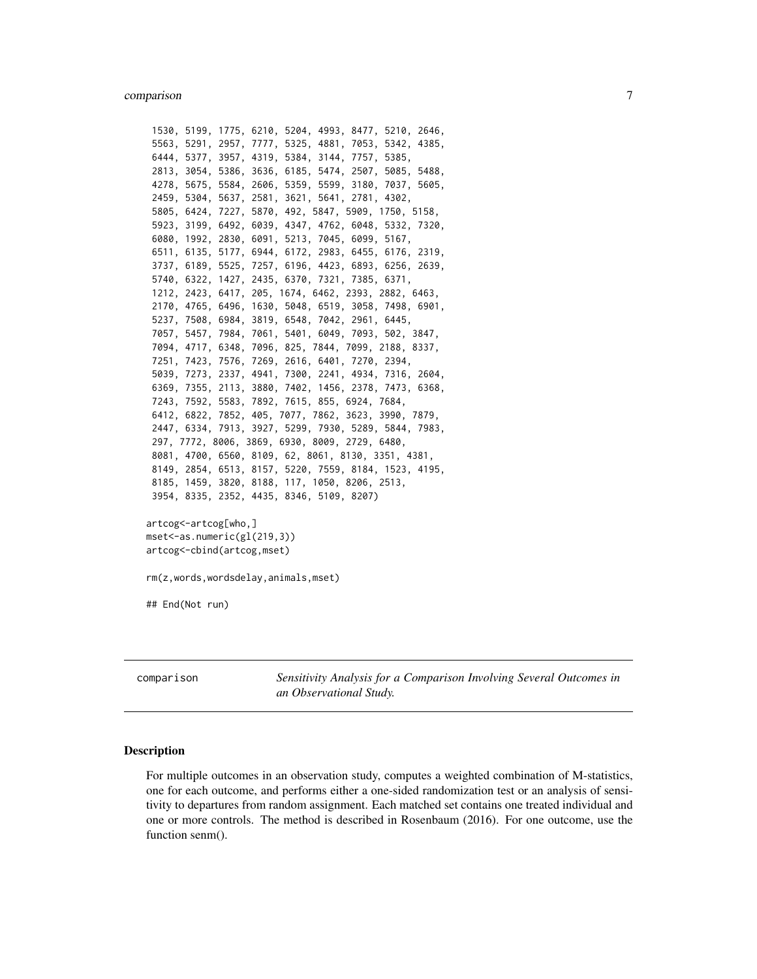<span id="page-6-0"></span>1530, 5199, 1775, 6210, 5204, 4993, 8477, 5210, 2646, 5563, 5291, 2957, 7777, 5325, 4881, 7053, 5342, 4385, 6444, 5377, 3957, 4319, 5384, 3144, 7757, 5385, 2813, 3054, 5386, 3636, 6185, 5474, 2507, 5085, 5488, 4278, 5675, 5584, 2606, 5359, 5599, 3180, 7037, 5605, 2459, 5304, 5637, 2581, 3621, 5641, 2781, 4302, 5805, 6424, 7227, 5870, 492, 5847, 5909, 1750, 5158, 5923, 3199, 6492, 6039, 4347, 4762, 6048, 5332, 7320, 6080, 1992, 2830, 6091, 5213, 7045, 6099, 5167, 6511, 6135, 5177, 6944, 6172, 2983, 6455, 6176, 2319, 3737, 6189, 5525, 7257, 6196, 4423, 6893, 6256, 2639, 5740, 6322, 1427, 2435, 6370, 7321, 7385, 6371, 1212, 2423, 6417, 205, 1674, 6462, 2393, 2882, 6463, 2170, 4765, 6496, 1630, 5048, 6519, 3058, 7498, 6901, 5237, 7508, 6984, 3819, 6548, 7042, 2961, 6445, 7057, 5457, 7984, 7061, 5401, 6049, 7093, 502, 3847, 7094, 4717, 6348, 7096, 825, 7844, 7099, 2188, 8337, 7251, 7423, 7576, 7269, 2616, 6401, 7270, 2394, 5039, 7273, 2337, 4941, 7300, 2241, 4934, 7316, 2604, 6369, 7355, 2113, 3880, 7402, 1456, 2378, 7473, 6368, 7243, 7592, 5583, 7892, 7615, 855, 6924, 7684, 6412, 6822, 7852, 405, 7077, 7862, 3623, 3990, 7879, 2447, 6334, 7913, 3927, 5299, 7930, 5289, 5844, 7983, 297, 7772, 8006, 3869, 6930, 8009, 2729, 6480, 8081, 4700, 6560, 8109, 62, 8061, 8130, 3351, 4381, 8149, 2854, 6513, 8157, 5220, 7559, 8184, 1523, 4195, 8185, 1459, 3820, 8188, 117, 1050, 8206, 2513, 3954, 8335, 2352, 4435, 8346, 5109, 8207) artcog<-artcog[who,] mset<-as.numeric(gl(219,3)) artcog<-cbind(artcog,mset) rm(z,words,wordsdelay,animals,mset)

## End(Not run)

comparison *Sensitivity Analysis for a Comparison Involving Several Outcomes in an Observational Study.*

## **Description**

For multiple outcomes in an observation study, computes a weighted combination of M-statistics, one for each outcome, and performs either a one-sided randomization test or an analysis of sensitivity to departures from random assignment. Each matched set contains one treated individual and one or more controls. The method is described in Rosenbaum (2016). For one outcome, use the function senm().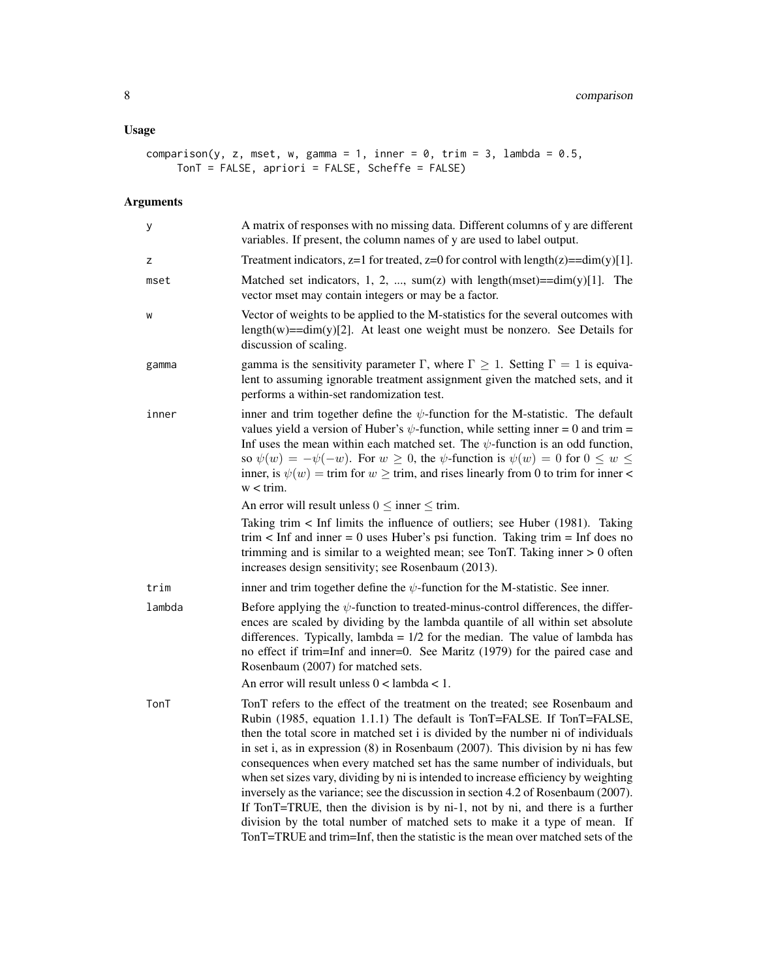# Usage

```
comparison(y, z, mset, w, gamma = 1, inner = 0, trim = 3, lambda = 0.5,
    TonT = FALSE, apriori = FALSE, Scheffe = FALSE)
```
# Arguments

| у      | A matrix of responses with no missing data. Different columns of y are different<br>variables. If present, the column names of y are used to label output.                                                                                                                                                                                                                                                                                                                                                                                                                                                                                                                                                                                                                                                                                 |
|--------|--------------------------------------------------------------------------------------------------------------------------------------------------------------------------------------------------------------------------------------------------------------------------------------------------------------------------------------------------------------------------------------------------------------------------------------------------------------------------------------------------------------------------------------------------------------------------------------------------------------------------------------------------------------------------------------------------------------------------------------------------------------------------------------------------------------------------------------------|
| z      | Treatment indicators, $z=1$ for treated, $z=0$ for control with length( $z$ )==dim(y)[1].                                                                                                                                                                                                                                                                                                                                                                                                                                                                                                                                                                                                                                                                                                                                                  |
| mset   | Matched set indicators, 1, 2, , sum(z) with length(mset)= $=dim(y)[1]$ . The<br>vector mset may contain integers or may be a factor.                                                                                                                                                                                                                                                                                                                                                                                                                                                                                                                                                                                                                                                                                                       |
| W      | Vector of weights to be applied to the M-statistics for the several outcomes with<br>length $(w) = -dim(y)[2]$ . At least one weight must be nonzero. See Details for<br>discussion of scaling.                                                                                                                                                                                                                                                                                                                                                                                                                                                                                                                                                                                                                                            |
| gamma  | gamma is the sensitivity parameter $\Gamma$ , where $\Gamma \geq 1$ . Setting $\Gamma = 1$ is equiva-<br>lent to assuming ignorable treatment assignment given the matched sets, and it<br>performs a within-set randomization test.                                                                                                                                                                                                                                                                                                                                                                                                                                                                                                                                                                                                       |
| inner  | inner and trim together define the $\psi$ -function for the M-statistic. The default<br>values yield a version of Huber's $\psi$ -function, while setting inner = 0 and trim =<br>Inf uses the mean within each matched set. The $\psi$ -function is an odd function,<br>so $\psi(w) = -\psi(-w)$ . For $w \ge 0$ , the $\psi$ -function is $\psi(w) = 0$ for $0 \le w \le 0$<br>inner, is $\psi(w) = \text{trim}$ for $w \geq \text{trim}$ , and rises linearly from 0 to trim for inner<br>$w < \text{trim.}$                                                                                                                                                                                                                                                                                                                            |
|        | An error will result unless $0 \le$ inner $\le$ trim.                                                                                                                                                                                                                                                                                                                                                                                                                                                                                                                                                                                                                                                                                                                                                                                      |
|        | Taking trim $\lt$ Inf limits the influence of outliers; see Huber (1981). Taking<br>trim $\lt$ Inf and inner = 0 uses Huber's psi function. Taking trim = Inf does no<br>trimming and is similar to a weighted mean; see TonT. Taking inner $> 0$ often<br>increases design sensitivity; see Rosenbaum (2013).                                                                                                                                                                                                                                                                                                                                                                                                                                                                                                                             |
| trim   | inner and trim together define the $\psi$ -function for the M-statistic. See inner.                                                                                                                                                                                                                                                                                                                                                                                                                                                                                                                                                                                                                                                                                                                                                        |
| lambda | Before applying the $\psi$ -function to treated-minus-control differences, the differ-<br>ences are scaled by dividing by the lambda quantile of all within set absolute<br>differences. Typically, lambda = $1/2$ for the median. The value of lambda has<br>no effect if trim=Inf and inner=0. See Maritz (1979) for the paired case and<br>Rosenbaum (2007) for matched sets.                                                                                                                                                                                                                                                                                                                                                                                                                                                           |
|        | An error will result unless $0 <$ lambda $< 1$ .                                                                                                                                                                                                                                                                                                                                                                                                                                                                                                                                                                                                                                                                                                                                                                                           |
| TonT   | TonT refers to the effect of the treatment on the treated; see Rosenbaum and<br>Rubin (1985, equation 1.1.1) The default is TonT=FALSE. If TonT=FALSE,<br>then the total score in matched set i is divided by the number ni of individuals<br>in set i, as in expression (8) in Rosenbaum (2007). This division by ni has few<br>consequences when every matched set has the same number of individuals, but<br>when set sizes vary, dividing by ni is intended to increase efficiency by weighting<br>inversely as the variance; see the discussion in section 4.2 of Rosenbaum (2007).<br>If TonT=TRUE, then the division is by ni-1, not by ni, and there is a further<br>division by the total number of matched sets to make it a type of mean. If<br>TonT=TRUE and trim=Inf, then the statistic is the mean over matched sets of the |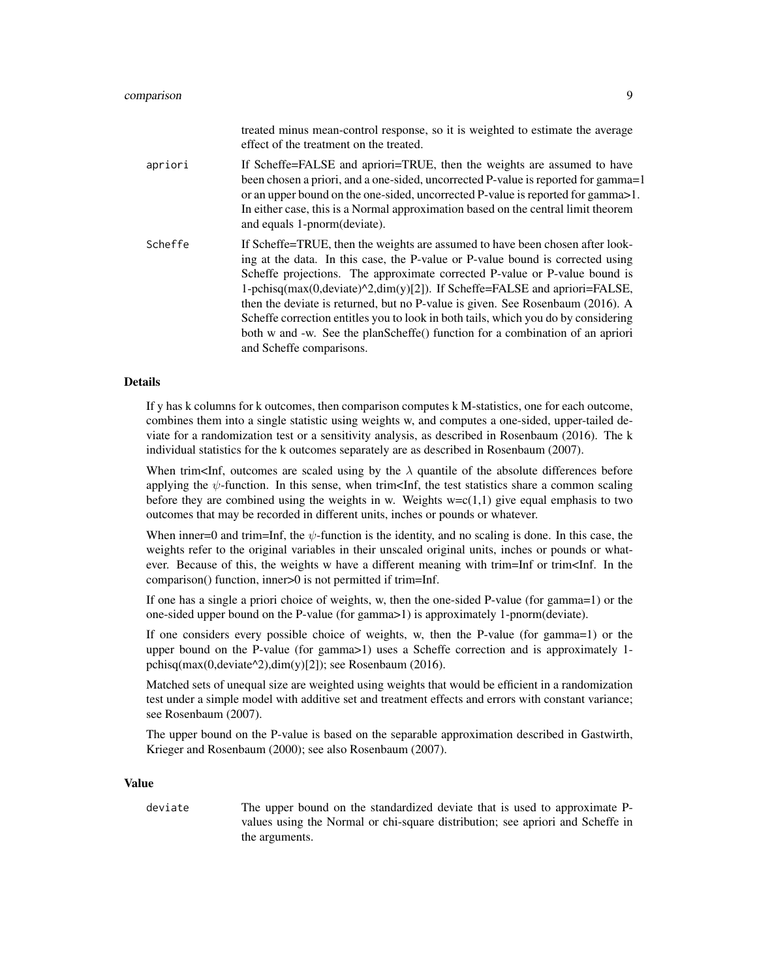|         | treated minus mean-control response, so it is weighted to estimate the average<br>effect of the treatment on the treated.                                                                                                                                                                                                                                                                                                                                                                                                                                                                                                   |
|---------|-----------------------------------------------------------------------------------------------------------------------------------------------------------------------------------------------------------------------------------------------------------------------------------------------------------------------------------------------------------------------------------------------------------------------------------------------------------------------------------------------------------------------------------------------------------------------------------------------------------------------------|
| apriori | If Scheffe=FALSE and apriori=TRUE, then the weights are assumed to have<br>been chosen a priori, and a one-sided, uncorrected P-value is reported for gamma=1<br>or an upper bound on the one-sided, uncorrected P-value is reported for gamma > 1.<br>In either case, this is a Normal approximation based on the central limit theorem<br>and equals 1-pnorm(deviate).                                                                                                                                                                                                                                                    |
| Scheffe | If Scheffe=TRUE, then the weights are assumed to have been chosen after look-<br>ing at the data. In this case, the P-value or P-value bound is corrected using<br>Scheffe projections. The approximate corrected P-value or P-value bound is<br>1-pchisq(max(0,deviate) $^{\wedge}2$ ,dim(y)[2]). If Scheffe=FALSE and apriori=FALSE,<br>then the deviate is returned, but no P-value is given. See Rosenbaum (2016). A<br>Scheffe correction entitles you to look in both tails, which you do by considering<br>both w and -w. See the planScheffe() function for a combination of an apriori<br>and Scheffe comparisons. |

#### Details

If y has k columns for k outcomes, then comparison computes k M-statistics, one for each outcome, combines them into a single statistic using weights w, and computes a one-sided, upper-tailed deviate for a randomization test or a sensitivity analysis, as described in Rosenbaum (2016). The k individual statistics for the k outcomes separately are as described in Rosenbaum (2007).

When trim<Inf, outcomes are scaled using by the  $\lambda$  quantile of the absolute differences before applying the  $\psi$ -function. In this sense, when trim $\leq$ Inf, the test statistics share a common scaling before they are combined using the weights in w. Weights  $w=c(1,1)$  give equal emphasis to two outcomes that may be recorded in different units, inches or pounds or whatever.

When inner=0 and trim=Inf, the  $\psi$ -function is the identity, and no scaling is done. In this case, the weights refer to the original variables in their unscaled original units, inches or pounds or whatever. Because of this, the weights w have a different meaning with trim=Inf or trim<Inf. In the comparison() function, inner>0 is not permitted if trim=Inf.

If one has a single a priori choice of weights, w, then the one-sided P-value (for gamma=1) or the one-sided upper bound on the P-value (for gamma>1) is approximately 1-pnorm(deviate).

If one considers every possible choice of weights, w, then the P-value (for gamma=1) or the upper bound on the P-value (for gamma>1) uses a Scheffe correction and is approximately 1 pchisq(max(0,deviate^2),dim(y)[2]); see Rosenbaum (2016).

Matched sets of unequal size are weighted using weights that would be efficient in a randomization test under a simple model with additive set and treatment effects and errors with constant variance; see Rosenbaum (2007).

The upper bound on the P-value is based on the separable approximation described in Gastwirth, Krieger and Rosenbaum (2000); see also Rosenbaum (2007).

# Value

deviate The upper bound on the standardized deviate that is used to approximate Pvalues using the Normal or chi-square distribution; see apriori and Scheffe in the arguments.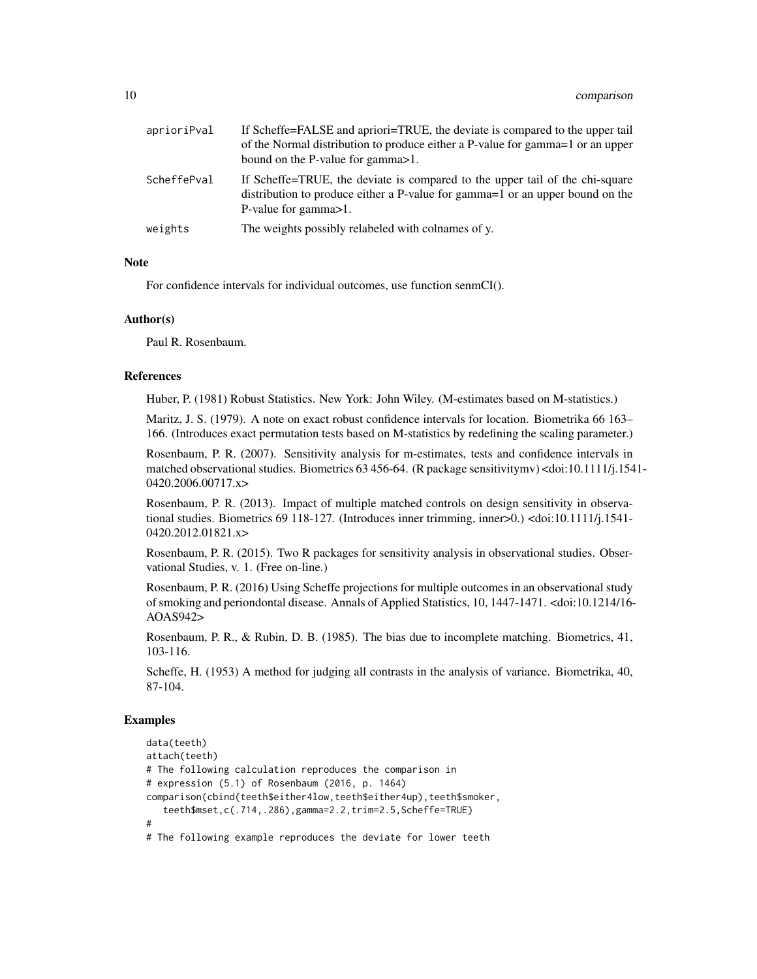| aprioriPval | If Scheffe=FALSE and apriori=TRUE, the deviate is compared to the upper tail<br>of the Normal distribution to produce either a P-value for gamma = 1 or an upper<br>bound on the P-value for gamma > 1. |
|-------------|---------------------------------------------------------------------------------------------------------------------------------------------------------------------------------------------------------|
| ScheffePval | If Scheffe=TRUE, the deviate is compared to the upper tail of the chi-square<br>distribution to produce either a P-value for gamma=1 or an upper bound on the<br>P-value for gamma > 1.                 |
| weights     | The weights possibly relabeled with colnames of y.                                                                                                                                                      |

## **Note**

For confidence intervals for individual outcomes, use function senmCI().

#### Author(s)

Paul R. Rosenbaum.

# References

Huber, P. (1981) Robust Statistics. New York: John Wiley. (M-estimates based on M-statistics.)

Maritz, J. S. (1979). A note on exact robust confidence intervals for location. Biometrika 66 163– 166. (Introduces exact permutation tests based on M-statistics by redefining the scaling parameter.)

Rosenbaum, P. R. (2007). Sensitivity analysis for m-estimates, tests and confidence intervals in matched observational studies. Biometrics 63 456-64. (R package sensitivitymv) <doi:10.1111/j.1541- 0420.2006.00717.x>

Rosenbaum, P. R. (2013). Impact of multiple matched controls on design sensitivity in observational studies. Biometrics 69 118-127. (Introduces inner trimming, inner>0.) <doi:10.1111/j.1541- 0420.2012.01821.x>

Rosenbaum, P. R. (2015). Two R packages for sensitivity analysis in observational studies. Observational Studies, v. 1. (Free on-line.)

Rosenbaum, P. R. (2016) Using Scheffe projections for multiple outcomes in an observational study of smoking and periondontal disease. Annals of Applied Statistics, 10, 1447-1471. <doi:10.1214/16- AOAS942>

Rosenbaum, P. R., & Rubin, D. B. (1985). The bias due to incomplete matching. Biometrics, 41, 103-116.

Scheffe, H. (1953) A method for judging all contrasts in the analysis of variance. Biometrika, 40, 87-104.

# Examples

```
data(teeth)
attach(teeth)
# The following calculation reproduces the comparison in
# expression (5.1) of Rosenbaum (2016, p. 1464)
comparison(cbind(teeth$either4low,teeth$either4up),teeth$smoker,
   teeth$mset,c(.714,.286),gamma=2.2,trim=2.5,Scheffe=TRUE)
#
# The following example reproduces the deviate for lower teeth
```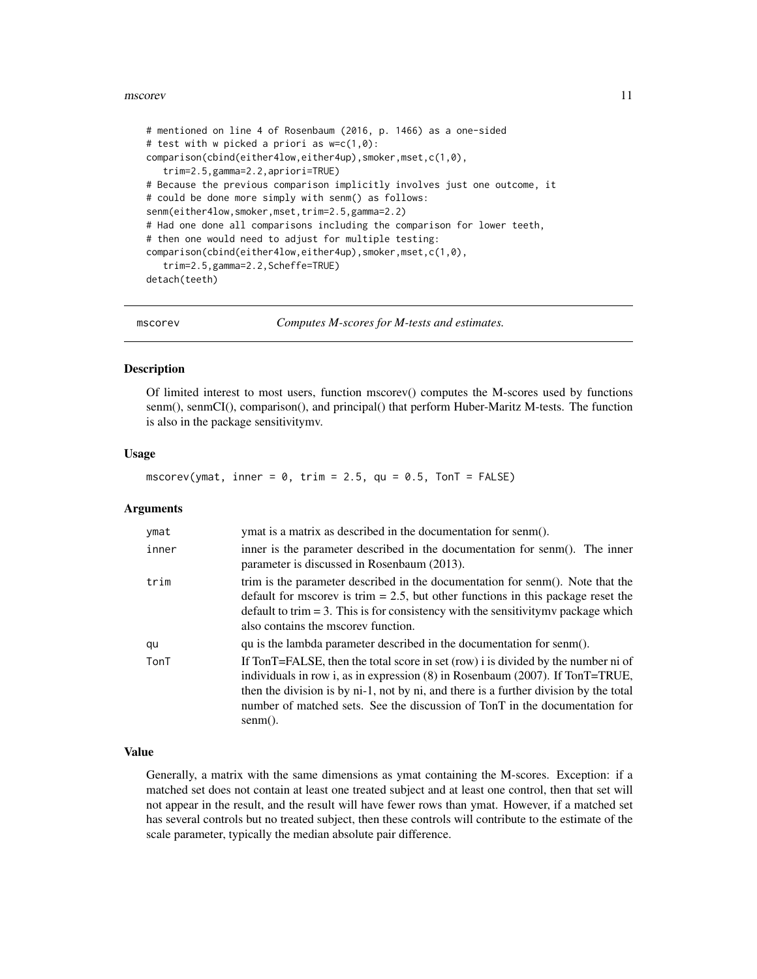# <span id="page-10-0"></span>mscorev and the contract of the contract of the contract of the contract of the contract of the contract of the contract of the contract of the contract of the contract of the contract of the contract of the contract of th

```
# mentioned on line 4 of Rosenbaum (2016, p. 1466) as a one-sided
# test with w picked a priori as w=c(1,0):
comparison(cbind(either4low,either4up),smoker,mset,c(1,0),
   trim=2.5,gamma=2.2,apriori=TRUE)
# Because the previous comparison implicitly involves just one outcome, it
# could be done more simply with senm() as follows:
senm(either4low,smoker,mset,trim=2.5,gamma=2.2)
# Had one done all comparisons including the comparison for lower teeth,
# then one would need to adjust for multiple testing:
comparison(cbind(either4low,either4up),smoker,mset,c(1,0),
   trim=2.5,gamma=2.2,Scheffe=TRUE)
detach(teeth)
```

```
mscorev Computes M-scores for M-tests and estimates.
```
#### Description

Of limited interest to most users, function mscorev() computes the M-scores used by functions senm(), senmCI(), comparison(), and principal() that perform Huber-Maritz M-tests. The function is also in the package sensitivitymv.

# Usage

mscorev(ymat, inner =  $0$ , trim =  $2.5$ , qu =  $0.5$ , TonT = FALSE)

# Arguments

| ymat  | ymat is a matrix as described in the documentation for senm().                                                                                                                                                                                                                                                                                                |
|-------|---------------------------------------------------------------------------------------------------------------------------------------------------------------------------------------------------------------------------------------------------------------------------------------------------------------------------------------------------------------|
| inner | inner is the parameter described in the documentation for senm(). The inner<br>parameter is discussed in Rosenbaum (2013).                                                                                                                                                                                                                                    |
| trim  | trim is the parameter described in the documentation for senm(). Note that the<br>default for mscorev is trim $= 2.5$ , but other functions in this package reset the<br>default to trim $= 3$ . This is for consistency with the sensitivity mv package which<br>also contains the mscorey function.                                                         |
| qu    | qu is the lambda parameter described in the documentation for senm().                                                                                                                                                                                                                                                                                         |
| TonT  | If TonT=FALSE, then the total score in set (row) i is divided by the number ni of<br>individuals in row i, as in expression $(8)$ in Rosenbaum $(2007)$ . If TonT=TRUE,<br>then the division is by ni-1, not by ni, and there is a further division by the total<br>number of matched sets. See the discussion of TonT in the documentation for<br>$semm()$ . |

# Value

Generally, a matrix with the same dimensions as ymat containing the M-scores. Exception: if a matched set does not contain at least one treated subject and at least one control, then that set will not appear in the result, and the result will have fewer rows than ymat. However, if a matched set has several controls but no treated subject, then these controls will contribute to the estimate of the scale parameter, typically the median absolute pair difference.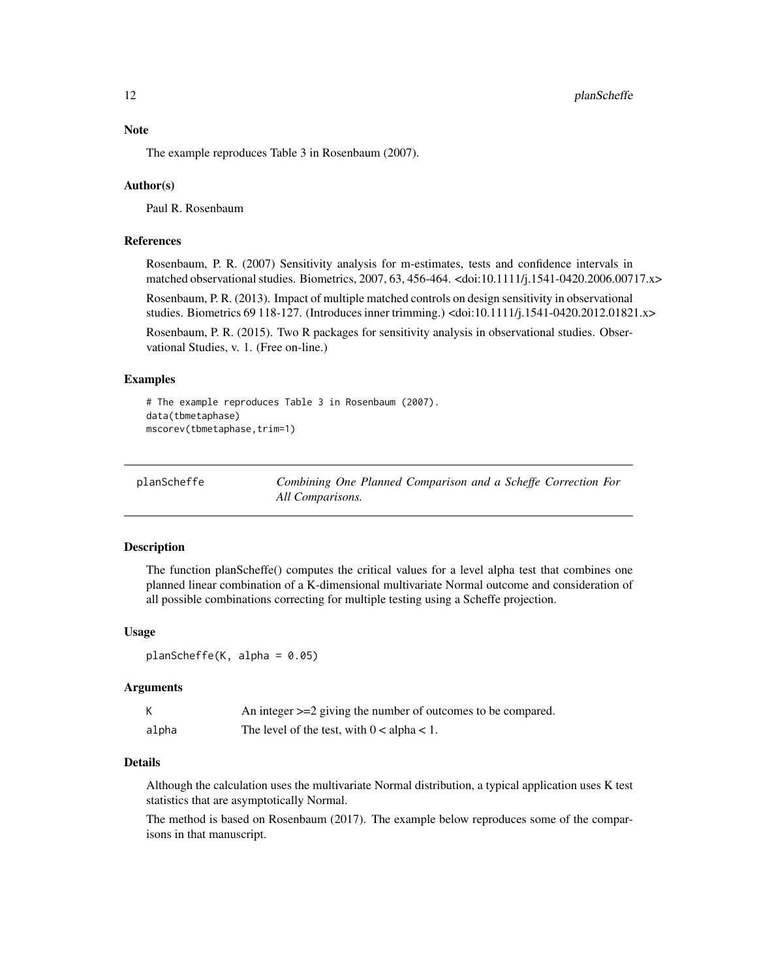# <span id="page-11-0"></span>Note

The example reproduces Table 3 in Rosenbaum (2007).

#### Author(s)

Paul R. Rosenbaum

# References

Rosenbaum, P. R. (2007) Sensitivity analysis for m-estimates, tests and confidence intervals in matched observational studies. Biometrics, 2007, 63, 456-464. <doi:10.1111/j.1541-0420.2006.00717.x>

Rosenbaum, P. R. (2013). Impact of multiple matched controls on design sensitivity in observational studies. Biometrics 69 118-127. (Introduces inner trimming.) <doi:10.1111/j.1541-0420.2012.01821.x>

Rosenbaum, P. R. (2015). Two R packages for sensitivity analysis in observational studies. Observational Studies, v. 1. (Free on-line.)

# Examples

```
# The example reproduces Table 3 in Rosenbaum (2007).
data(tbmetaphase)
mscorev(tbmetaphase,trim=1)
```
planScheffe *Combining One Planned Comparison and a Scheffe Correction For All Comparisons.*

#### Description

The function planScheffe() computes the critical values for a level alpha test that combines one planned linear combination of a K-dimensional multivariate Normal outcome and consideration of all possible combinations correcting for multiple testing using a Scheffe projection.

# Usage

 $planScheffe(K, alpha = 0.05)$ 

# Arguments

|       | An integer $>=$ 2 giving the number of outcomes to be compared. |
|-------|-----------------------------------------------------------------|
| alpha | The level of the test, with $0 < a$ lpha $< 1$ .                |

# Details

Although the calculation uses the multivariate Normal distribution, a typical application uses K test statistics that are asymptotically Normal.

The method is based on Rosenbaum (2017). The example below reproduces some of the comparisons in that manuscript.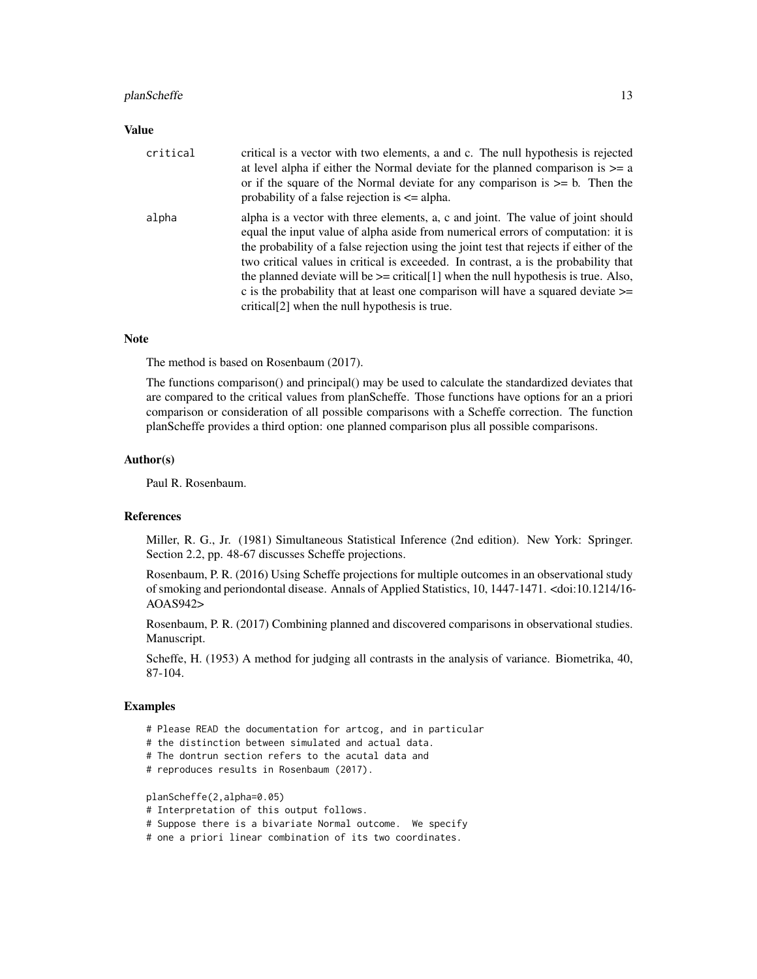# planScheffe 13

# Value

| critical | critical is a vector with two elements, a and c. The null hypothesis is rejected<br>at level alpha if either the Normal deviate for the planned comparison is $\geq$ a<br>or if the square of the Normal deviate for any comparison is $\geq$ b. Then the<br>probability of a false rejection is $\leq$ alpha.                                                                                                                                                                                                                                                                                         |
|----------|--------------------------------------------------------------------------------------------------------------------------------------------------------------------------------------------------------------------------------------------------------------------------------------------------------------------------------------------------------------------------------------------------------------------------------------------------------------------------------------------------------------------------------------------------------------------------------------------------------|
| alpha    | alpha is a vector with three elements, a, c and joint. The value of joint should<br>equal the input value of alpha aside from numerical errors of computation: it is<br>the probability of a false rejection using the joint test that rejects if either of the<br>two critical values in critical is exceeded. In contrast, a is the probability that<br>the planned deviate will be $\ge$ = critical[1] when the null hypothesis is true. Also,<br>c is the probability that at least one comparison will have a squared deviate $\geq$<br>critical <sup>[2]</sup> when the null hypothesis is true. |

# **Note**

The method is based on Rosenbaum (2017).

The functions comparison() and principal() may be used to calculate the standardized deviates that are compared to the critical values from planScheffe. Those functions have options for an a priori comparison or consideration of all possible comparisons with a Scheffe correction. The function planScheffe provides a third option: one planned comparison plus all possible comparisons.

# Author(s)

Paul R. Rosenbaum.

# References

Miller, R. G., Jr. (1981) Simultaneous Statistical Inference (2nd edition). New York: Springer. Section 2.2, pp. 48-67 discusses Scheffe projections.

Rosenbaum, P. R. (2016) Using Scheffe projections for multiple outcomes in an observational study of smoking and periondontal disease. Annals of Applied Statistics, 10, 1447-1471. <doi:10.1214/16- AOAS942>

Rosenbaum, P. R. (2017) Combining planned and discovered comparisons in observational studies. Manuscript.

Scheffe, H. (1953) A method for judging all contrasts in the analysis of variance. Biometrika, 40, 87-104.

# Examples

- # Please READ the documentation for artcog, and in particular
- # the distinction between simulated and actual data.
- # The dontrun section refers to the acutal data and
- # reproduces results in Rosenbaum (2017).

planScheffe(2,alpha=0.05)

- # Interpretation of this output follows.
- # Suppose there is a bivariate Normal outcome. We specify
- # one a priori linear combination of its two coordinates.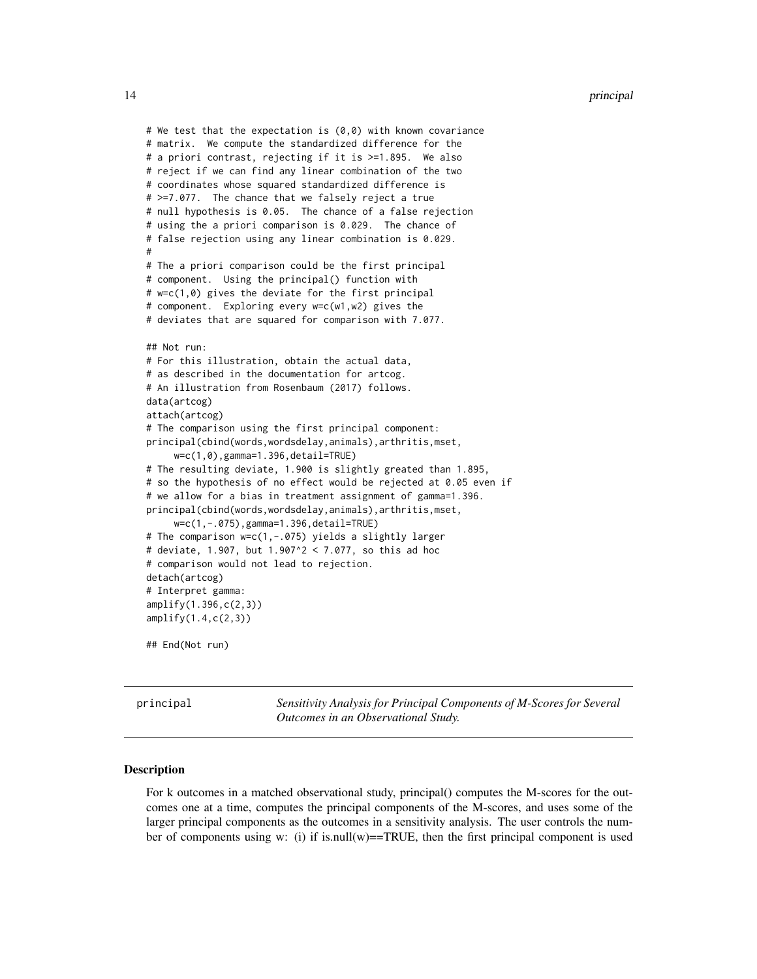```
# We test that the expectation is (0,0) with known covariance
# matrix. We compute the standardized difference for the
# a priori contrast, rejecting if it is >=1.895. We also
# reject if we can find any linear combination of the two
# coordinates whose squared standardized difference is
# >=7.077. The chance that we falsely reject a true
# null hypothesis is 0.05. The chance of a false rejection
# using the a priori comparison is 0.029. The chance of
# false rejection using any linear combination is 0.029.
#
# The a priori comparison could be the first principal
# component. Using the principal() function with
# w=c(1,0) gives the deviate for the first principal
# component. Exploring every w=c(w1,w2) gives the
# deviates that are squared for comparison with 7.077.
## Not run:
# For this illustration, obtain the actual data,
# as described in the documentation for artcog.
# An illustration from Rosenbaum (2017) follows.
data(artcog)
attach(artcog)
# The comparison using the first principal component:
principal(cbind(words,wordsdelay,animals),arthritis,mset,
     w=c(1,0),gamma=1.396,detail=TRUE)
# The resulting deviate, 1.900 is slightly greated than 1.895,
# so the hypothesis of no effect would be rejected at 0.05 even if
# we allow for a bias in treatment assignment of gamma=1.396.
principal(cbind(words,wordsdelay,animals),arthritis,mset,
     w=c(1,-.075),gamma=1.396,detail=TRUE)
# The comparison w=c(1,-.075) yields a slightly larger
# deviate, 1.907, but 1.907^2 < 7.077, so this ad hoc
# comparison would not lead to rejection.
detach(artcog)
# Interpret gamma:
amplify(1.396,c(2,3))
amplify(1.4,c(2,3))
## End(Not run)
```
principal *Sensitivity Analysis for Principal Components of M-Scores for Several Outcomes in an Observational Study.*

# Description

For k outcomes in a matched observational study, principal() computes the M-scores for the outcomes one at a time, computes the principal components of the M-scores, and uses some of the larger principal components as the outcomes in a sensitivity analysis. The user controls the number of components using w: (i) if is.null(w)==TRUE, then the first principal component is used

<span id="page-13-0"></span>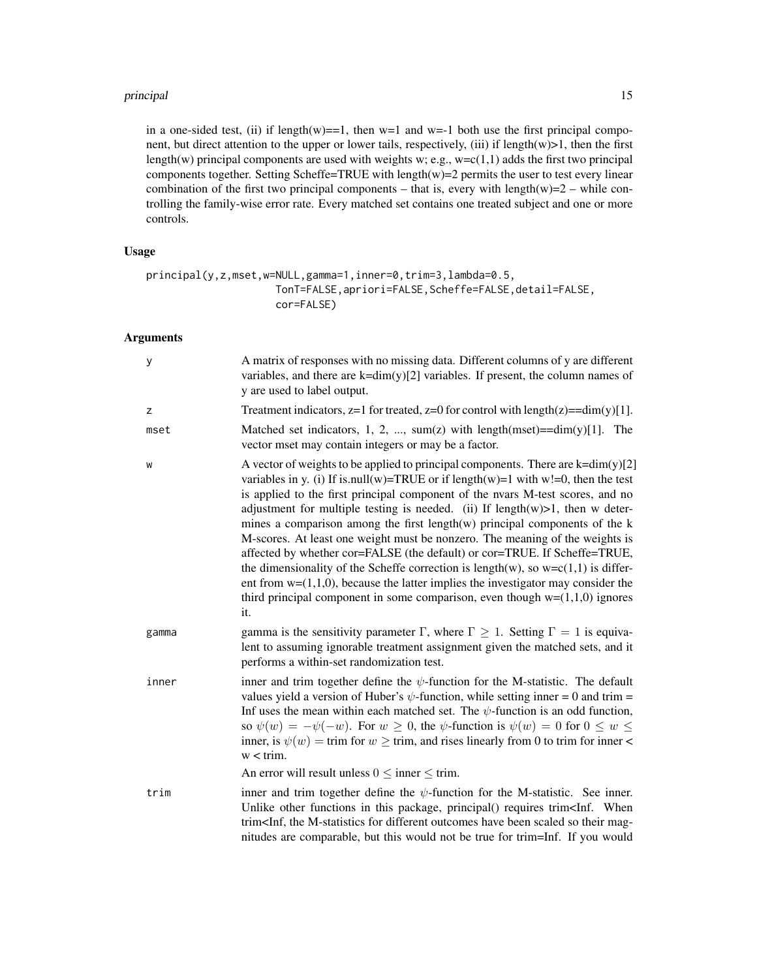# principal the state of the state of the state of the state of the state of the state of the state of the state of the state of the state of the state of the state of the state of the state of the state of the state of the

in a one-sided test, (ii) if length(w)==1, then w=1 and w=-1 both use the first principal component, but direct attention to the upper or lower tails, respectively, (iii) if length $(w)$ >1, then the first length(w) principal components are used with weights w; e.g.,  $w=c(1,1)$  adds the first two principal components together. Setting Scheffe=TRUE with length(w)=2 permits the user to test every linear combination of the first two principal components – that is, every with length $(w)=2$  – while controlling the family-wise error rate. Every matched set contains one treated subject and one or more controls.

# Usage

```
principal(y,z,mset,w=NULL,gamma=1,inner=0,trim=3,lambda=0.5,
                     TonT=FALSE,apriori=FALSE,Scheffe=FALSE,detail=FALSE,
                     cor=FALSE)
```
# Arguments

| у     | A matrix of responses with no missing data. Different columns of y are different<br>variables, and there are $k=dim(y)[2]$ variables. If present, the column names of<br>y are used to label output.                                                                                                                                                                                                                                                                                                                                                                                                                                                                                                                                                                                                                                                                  |
|-------|-----------------------------------------------------------------------------------------------------------------------------------------------------------------------------------------------------------------------------------------------------------------------------------------------------------------------------------------------------------------------------------------------------------------------------------------------------------------------------------------------------------------------------------------------------------------------------------------------------------------------------------------------------------------------------------------------------------------------------------------------------------------------------------------------------------------------------------------------------------------------|
| z     | Treatment indicators, $z=1$ for treated, $z=0$ for control with length $(z) = dim(y)[1]$ .                                                                                                                                                                                                                                                                                                                                                                                                                                                                                                                                                                                                                                                                                                                                                                            |
| mset  | Matched set indicators, 1, 2, , sum(z) with length(mset)= $=dim(y)[1]$ . The<br>vector mset may contain integers or may be a factor.                                                                                                                                                                                                                                                                                                                                                                                                                                                                                                                                                                                                                                                                                                                                  |
| W     | A vector of weights to be applied to principal components. There are $k=dim(y)[2]$<br>variables in y. (i) If is null(w)=TRUE or if length(w)=1 with w!=0, then the test<br>is applied to the first principal component of the nvars M-test scores, and no<br>adjustment for multiple testing is needed. (ii) If $length(w) > 1$ , then w deter-<br>mines a comparison among the first length $(w)$ principal components of the $k$<br>M-scores. At least one weight must be nonzero. The meaning of the weights is<br>affected by whether cor=FALSE (the default) or cor=TRUE. If Scheffe=TRUE,<br>the dimensionality of the Scheffe correction is length(w), so $w=c(1,1)$ is differ-<br>ent from $w=(1,1,0)$ , because the latter implies the investigator may consider the<br>third principal component in some comparison, even though $w=(1,1,0)$ ignores<br>it. |
| gamma | gamma is the sensitivity parameter $\Gamma$ , where $\Gamma \geq 1$ . Setting $\Gamma = 1$ is equiva-<br>lent to assuming ignorable treatment assignment given the matched sets, and it<br>performs a within-set randomization test.                                                                                                                                                                                                                                                                                                                                                                                                                                                                                                                                                                                                                                  |
| inner | inner and trim together define the $\psi$ -function for the M-statistic. The default<br>values yield a version of Huber's $\psi$ -function, while setting inner = 0 and trim =<br>Inf uses the mean within each matched set. The $\psi$ -function is an odd function,<br>so $\psi(w) = -\psi(-w)$ . For $w \ge 0$ , the $\psi$ -function is $\psi(w) = 0$ for $0 \le w \le 0$<br>inner, is $\psi(w) = \text{trim}$ for $w \geq \text{trim}$ , and rises linearly from 0 to trim for inner <<br>$w < \text{trim.}$                                                                                                                                                                                                                                                                                                                                                     |
|       | An error will result unless $0 \le$ inner $\le$ trim.                                                                                                                                                                                                                                                                                                                                                                                                                                                                                                                                                                                                                                                                                                                                                                                                                 |
| trim  | inner and trim together define the $\psi$ -function for the M-statistic. See inner.<br>Unlike other functions in this package, principal() requires trim <inf. when<br="">trim<inf, been="" different="" for="" have="" m-statistics="" mag-<br="" outcomes="" scaled="" so="" the="" their="">nitudes are comparable, but this would not be true for trim=Inf. If you would</inf,></inf.>                                                                                                                                                                                                                                                                                                                                                                                                                                                                            |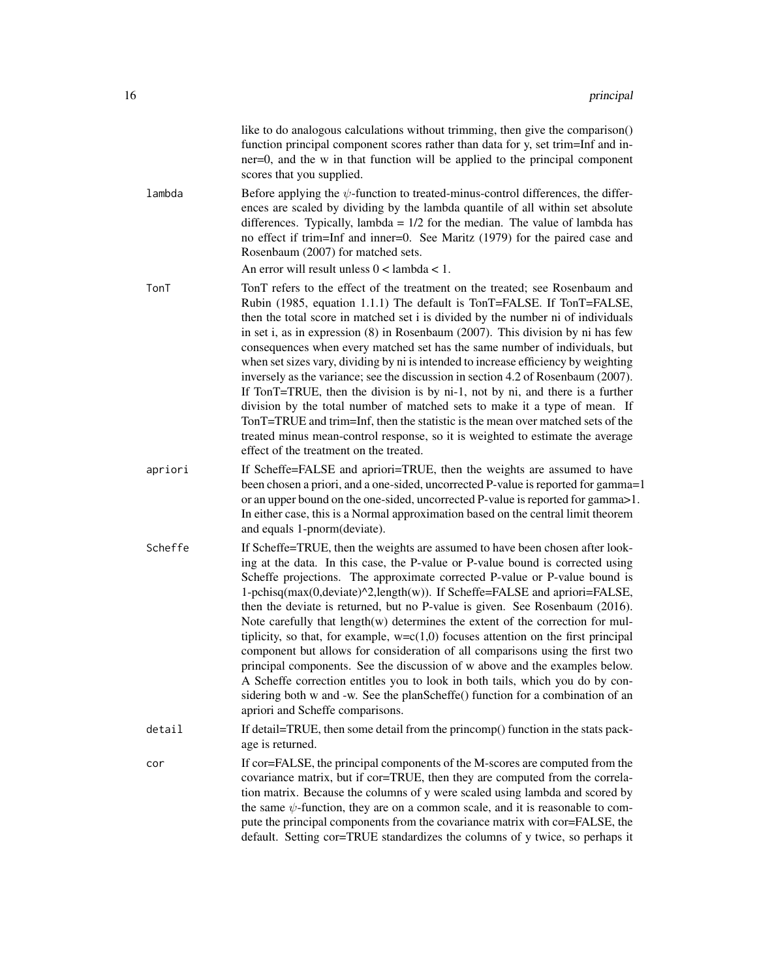|         | like to do analogous calculations without trimming, then give the comparison()<br>function principal component scores rather than data for y, set trim=Inf and in-<br>ner=0, and the w in that function will be applied to the principal component<br>scores that you supplied.                                                                                                                                                                                                                                                                                                                                                                                                                                                                                                                                                                                                                                                                                              |
|---------|------------------------------------------------------------------------------------------------------------------------------------------------------------------------------------------------------------------------------------------------------------------------------------------------------------------------------------------------------------------------------------------------------------------------------------------------------------------------------------------------------------------------------------------------------------------------------------------------------------------------------------------------------------------------------------------------------------------------------------------------------------------------------------------------------------------------------------------------------------------------------------------------------------------------------------------------------------------------------|
| lambda  | Before applying the $\psi$ -function to treated-minus-control differences, the differ-<br>ences are scaled by dividing by the lambda quantile of all within set absolute<br>differences. Typically, lambda = $1/2$ for the median. The value of lambda has<br>no effect if trim=Inf and inner=0. See Maritz (1979) for the paired case and<br>Rosenbaum (2007) for matched sets.<br>An error will result unless $0 <$ lambda $< 1$ .                                                                                                                                                                                                                                                                                                                                                                                                                                                                                                                                         |
| TonT    | TonT refers to the effect of the treatment on the treated; see Rosenbaum and<br>Rubin (1985, equation 1.1.1) The default is TonT=FALSE. If TonT=FALSE,<br>then the total score in matched set i is divided by the number ni of individuals<br>in set i, as in expression $(8)$ in Rosenbaum $(2007)$ . This division by ni has few<br>consequences when every matched set has the same number of individuals, but<br>when set sizes vary, dividing by ni is intended to increase efficiency by weighting<br>inversely as the variance; see the discussion in section 4.2 of Rosenbaum (2007).<br>If TonT=TRUE, then the division is by ni-1, not by ni, and there is a further<br>division by the total number of matched sets to make it a type of mean. If<br>TonT=TRUE and trim=Inf, then the statistic is the mean over matched sets of the<br>treated minus mean-control response, so it is weighted to estimate the average<br>effect of the treatment on the treated. |
| apriori | If Scheffe=FALSE and apriori=TRUE, then the weights are assumed to have<br>been chosen a priori, and a one-sided, uncorrected P-value is reported for gamma=1<br>or an upper bound on the one-sided, uncorrected P-value is reported for gamma>1.<br>In either case, this is a Normal approximation based on the central limit theorem<br>and equals 1-pnorm(deviate).                                                                                                                                                                                                                                                                                                                                                                                                                                                                                                                                                                                                       |
| Scheffe | If Scheffe=TRUE, then the weights are assumed to have been chosen after look-<br>ing at the data. In this case, the P-value or P-value bound is corrected using<br>Scheffe projections. The approximate corrected P-value or P-value bound is<br>1-pchisq(max(0,deviate)^2,length(w)). If Scheffe=FALSE and apriori=FALSE,<br>then the deviate is returned, but no P-value is given. See Rosenbaum (2016).<br>Note carefully that $length(w)$ determines the extent of the correction for mul-<br>tiplicity, so that, for example, $w=c(1,0)$ focuses attention on the first principal<br>component but allows for consideration of all comparisons using the first two<br>principal components. See the discussion of w above and the examples below.<br>A Scheffe correction entitles you to look in both tails, which you do by con-<br>sidering both w and -w. See the planScheffe() function for a combination of an<br>apriori and Scheffe comparisons.                |
| detail  | If detail=TRUE, then some detail from the princomp() function in the stats pack-<br>age is returned.                                                                                                                                                                                                                                                                                                                                                                                                                                                                                                                                                                                                                                                                                                                                                                                                                                                                         |
| cor     | If cor=FALSE, the principal components of the M-scores are computed from the<br>covariance matrix, but if cor=TRUE, then they are computed from the correla-<br>tion matrix. Because the columns of y were scaled using lambda and scored by<br>the same $\psi$ -function, they are on a common scale, and it is reasonable to com-<br>pute the principal components from the covariance matrix with cor=FALSE, the<br>default. Setting cor=TRUE standardizes the columns of y twice, so perhaps it                                                                                                                                                                                                                                                                                                                                                                                                                                                                          |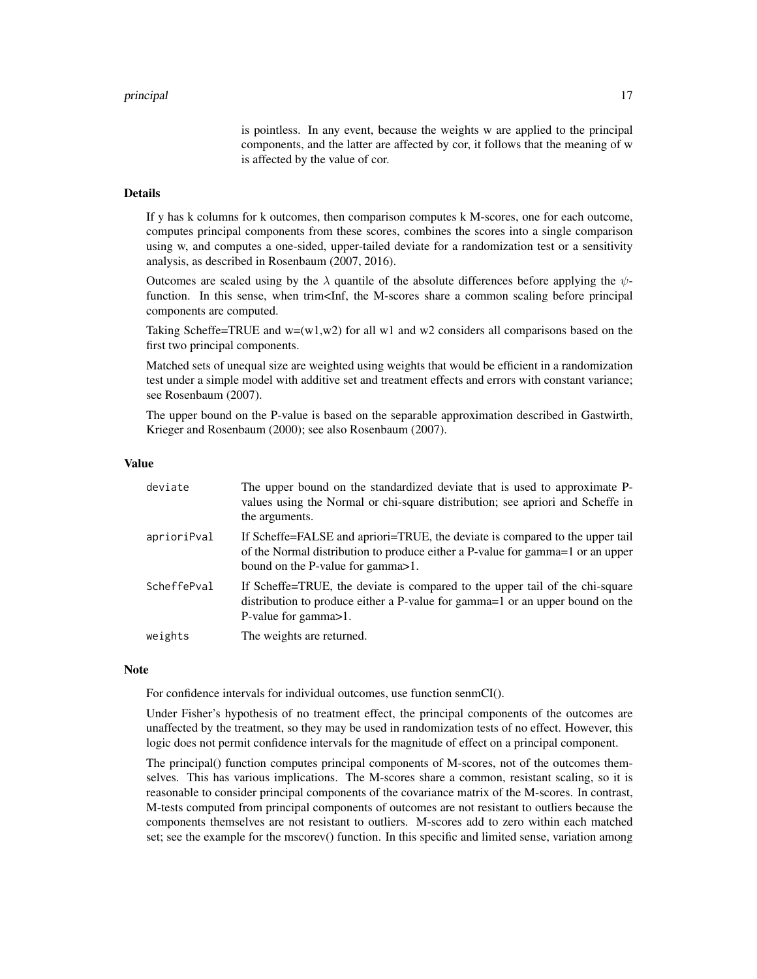is pointless. In any event, because the weights w are applied to the principal components, and the latter are affected by cor, it follows that the meaning of w is affected by the value of cor.

# **Details**

If y has k columns for k outcomes, then comparison computes k M-scores, one for each outcome, computes principal components from these scores, combines the scores into a single comparison using w, and computes a one-sided, upper-tailed deviate for a randomization test or a sensitivity analysis, as described in Rosenbaum (2007, 2016).

Outcomes are scaled using by the  $\lambda$  quantile of the absolute differences before applying the  $\psi$ function. In this sense, when trim<Inf, the M-scores share a common scaling before principal components are computed.

Taking Scheffe=TRUE and  $w=(w1,w2)$  for all w1 and w2 considers all comparisons based on the first two principal components.

Matched sets of unequal size are weighted using weights that would be efficient in a randomization test under a simple model with additive set and treatment effects and errors with constant variance; see Rosenbaum (2007).

The upper bound on the P-value is based on the separable approximation described in Gastwirth, Krieger and Rosenbaum (2000); see also Rosenbaum (2007).

# Value

| deviate     | The upper bound on the standardized deviate that is used to approximate P-<br>values using the Normal or chi-square distribution; see apriori and Scheffe in<br>the arguments.                      |
|-------------|-----------------------------------------------------------------------------------------------------------------------------------------------------------------------------------------------------|
| aprioriPval | If Scheffe=FALSE and apriori=TRUE, the deviate is compared to the upper tail<br>of the Normal distribution to produce either a P-value for gamma=1 or an upper<br>bound on the P-value for gamma>1. |
| ScheffePval | If Scheffe=TRUE, the deviate is compared to the upper tail of the chi-square<br>distribution to produce either a P-value for gamma=1 or an upper bound on the<br>P-value for gamma > 1.             |
| weights     | The weights are returned.                                                                                                                                                                           |

#### **Note**

For confidence intervals for individual outcomes, use function senmCI().

Under Fisher's hypothesis of no treatment effect, the principal components of the outcomes are unaffected by the treatment, so they may be used in randomization tests of no effect. However, this logic does not permit confidence intervals for the magnitude of effect on a principal component.

The principal() function computes principal components of M-scores, not of the outcomes themselves. This has various implications. The M-scores share a common, resistant scaling, so it is reasonable to consider principal components of the covariance matrix of the M-scores. In contrast, M-tests computed from principal components of outcomes are not resistant to outliers because the components themselves are not resistant to outliers. M-scores add to zero within each matched set; see the example for the mscorev() function. In this specific and limited sense, variation among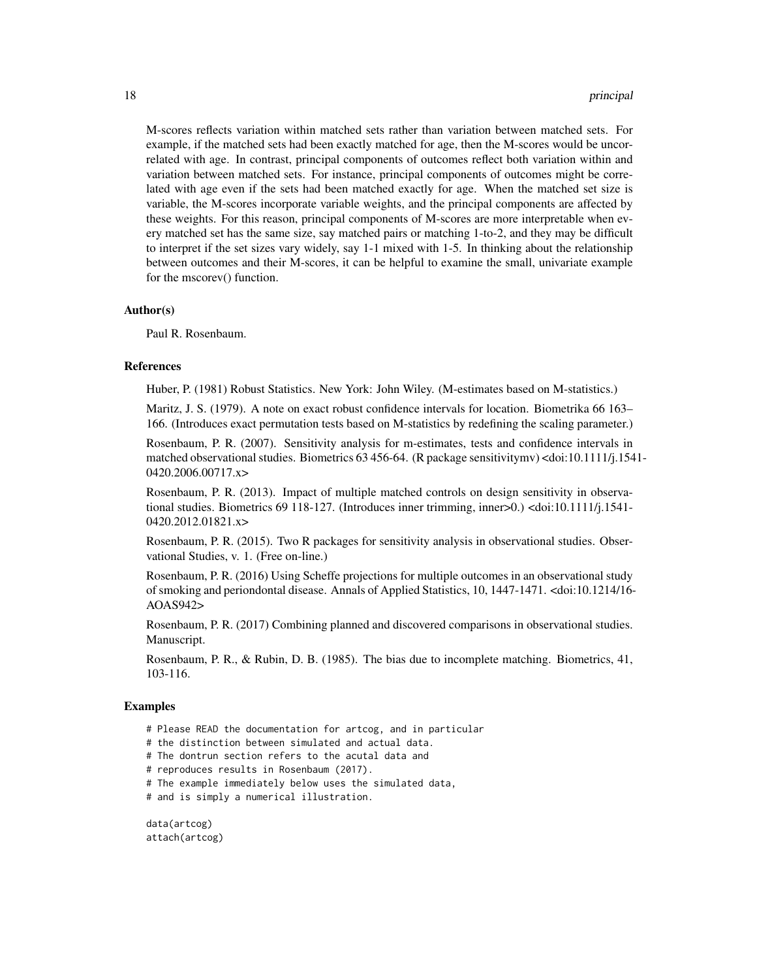M-scores reflects variation within matched sets rather than variation between matched sets. For example, if the matched sets had been exactly matched for age, then the M-scores would be uncorrelated with age. In contrast, principal components of outcomes reflect both variation within and variation between matched sets. For instance, principal components of outcomes might be correlated with age even if the sets had been matched exactly for age. When the matched set size is variable, the M-scores incorporate variable weights, and the principal components are affected by these weights. For this reason, principal components of M-scores are more interpretable when every matched set has the same size, say matched pairs or matching 1-to-2, and they may be difficult to interpret if the set sizes vary widely, say 1-1 mixed with 1-5. In thinking about the relationship between outcomes and their M-scores, it can be helpful to examine the small, univariate example for the mscorev() function.

# Author(s)

Paul R. Rosenbaum.

# References

Huber, P. (1981) Robust Statistics. New York: John Wiley. (M-estimates based on M-statistics.)

Maritz, J. S. (1979). A note on exact robust confidence intervals for location. Biometrika 66 163– 166. (Introduces exact permutation tests based on M-statistics by redefining the scaling parameter.)

Rosenbaum, P. R. (2007). Sensitivity analysis for m-estimates, tests and confidence intervals in matched observational studies. Biometrics 63 456-64. (R package sensitivitymv) <doi:10.1111/j.1541- 0420.2006.00717.x>

Rosenbaum, P. R. (2013). Impact of multiple matched controls on design sensitivity in observational studies. Biometrics 69 118-127. (Introduces inner trimming, inner>0.) <doi:10.1111/j.1541- 0420.2012.01821.x>

Rosenbaum, P. R. (2015). Two R packages for sensitivity analysis in observational studies. Observational Studies, v. 1. (Free on-line.)

Rosenbaum, P. R. (2016) Using Scheffe projections for multiple outcomes in an observational study of smoking and periondontal disease. Annals of Applied Statistics, 10, 1447-1471. <doi:10.1214/16- AOAS942>

Rosenbaum, P. R. (2017) Combining planned and discovered comparisons in observational studies. Manuscript.

Rosenbaum, P. R., & Rubin, D. B. (1985). The bias due to incomplete matching. Biometrics, 41, 103-116.

# Examples

- # Please READ the documentation for artcog, and in particular
- # the distinction between simulated and actual data.
- # The dontrun section refers to the acutal data and
- # reproduces results in Rosenbaum (2017).

# The example immediately below uses the simulated data,

# and is simply a numerical illustration.

data(artcog) attach(artcog)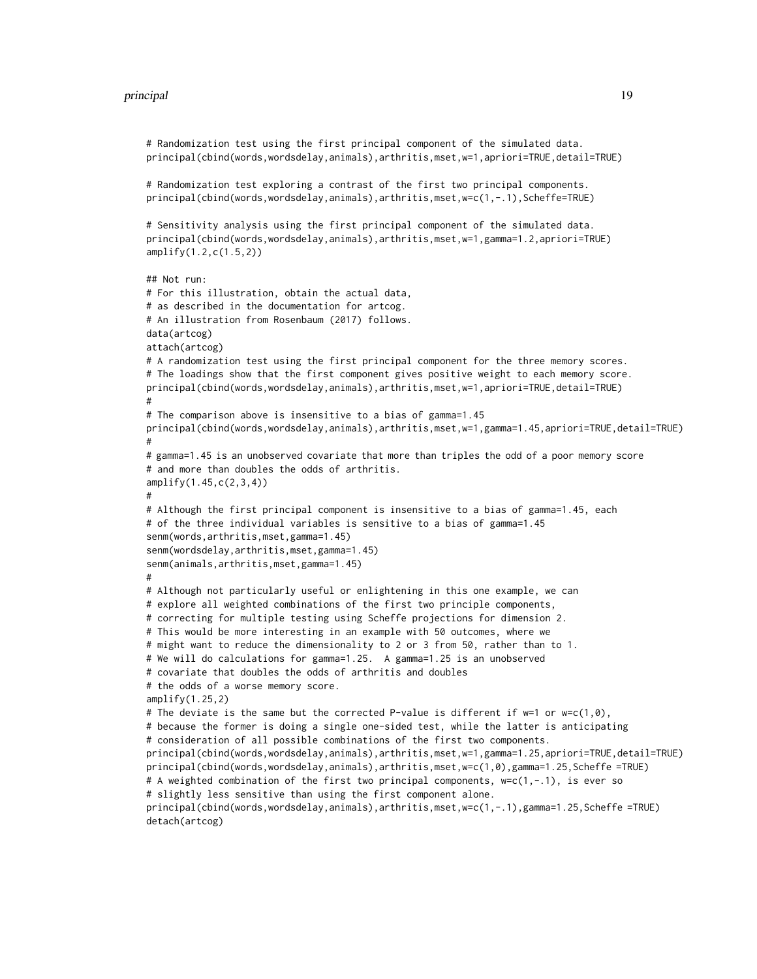```
# Randomization test using the first principal component of the simulated data.
principal(cbind(words,wordsdelay,animals),arthritis,mset,w=1,apriori=TRUE,detail=TRUE)
# Randomization test exploring a contrast of the first two principal components.
principal(cbind(words,wordsdelay,animals),arthritis,mset,w=c(1,-.1),Scheffe=TRUE)
# Sensitivity analysis using the first principal component of the simulated data.
principal(cbind(words,wordsdelay,animals),arthritis,mset,w=1,gamma=1.2,apriori=TRUE)
amplify(1.2,c(1.5,2))
## Not run:
# For this illustration, obtain the actual data,
# as described in the documentation for artcog.
# An illustration from Rosenbaum (2017) follows.
data(artcog)
attach(artcog)
# A randomization test using the first principal component for the three memory scores.
# The loadings show that the first component gives positive weight to each memory score.
principal(cbind(words,wordsdelay,animals),arthritis,mset,w=1,apriori=TRUE,detail=TRUE)
#
# The comparison above is insensitive to a bias of gamma=1.45
principal(cbind(words,wordsdelay,animals),arthritis,mset,w=1,gamma=1.45,apriori=TRUE,detail=TRUE)
#
# gamma=1.45 is an unobserved covariate that more than triples the odd of a poor memory score
# and more than doubles the odds of arthritis.
amplify(1.45,c(2,3,4))
#
# Although the first principal component is insensitive to a bias of gamma=1.45, each
# of the three individual variables is sensitive to a bias of gamma=1.45
senm(words,arthritis,mset,gamma=1.45)
senm(wordsdelay,arthritis,mset,gamma=1.45)
senm(animals,arthritis,mset,gamma=1.45)
#
# Although not particularly useful or enlightening in this one example, we can
# explore all weighted combinations of the first two principle components,
# correcting for multiple testing using Scheffe projections for dimension 2.
# This would be more interesting in an example with 50 outcomes, where we
# might want to reduce the dimensionality to 2 or 3 from 50, rather than to 1.
# We will do calculations for gamma=1.25. A gamma=1.25 is an unobserved
# covariate that doubles the odds of arthritis and doubles
# the odds of a worse memory score.
amplify(1.25,2)# The deviate is the same but the corrected P-value is different if w=1 or w=c(1,0),
# because the former is doing a single one-sided test, while the latter is anticipating
# consideration of all possible combinations of the first two components.
principal(cbind(words,wordsdelay,animals),arthritis,mset,w=1,gamma=1.25,apriori=TRUE,detail=TRUE)
principal(cbind(words,wordsdelay,animals),arthritis,mset,w=c(1,0),gamma=1.25,Scheffe =TRUE)
# A weighted combination of the first two principal components, w=c(1,-.1), is ever so
# slightly less sensitive than using the first component alone.
principal(cbind(words,wordsdelay,animals),arthritis,mset,w=c(1,-.1),gamma=1.25,Scheffe =TRUE)
detach(artcog)
```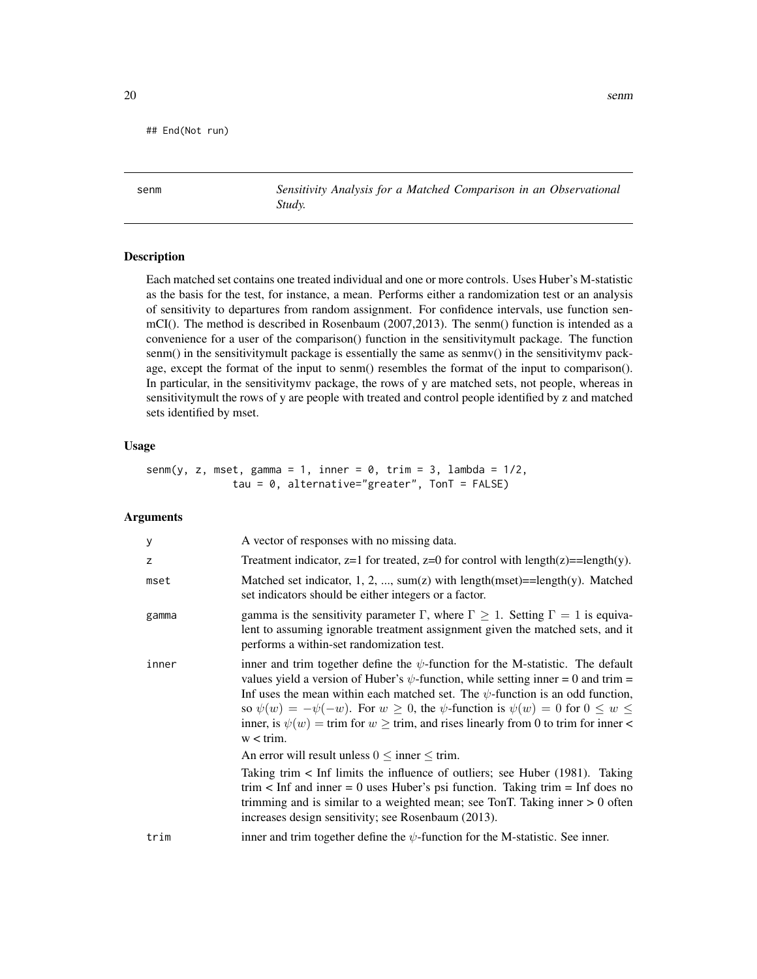<span id="page-19-0"></span>## End(Not run)

senm *Sensitivity Analysis for a Matched Comparison in an Observational Study.*

#### Description

Each matched set contains one treated individual and one or more controls. Uses Huber's M-statistic as the basis for the test, for instance, a mean. Performs either a randomization test or an analysis of sensitivity to departures from random assignment. For confidence intervals, use function senmCI(). The method is described in Rosenbaum (2007,2013). The senm() function is intended as a convenience for a user of the comparison() function in the sensitivitymult package. The function senm() in the sensitivitymult package is essentially the same as senmv() in the sensitivitymv package, except the format of the input to senm() resembles the format of the input to comparison(). In particular, in the sensitivitymv package, the rows of y are matched sets, not people, whereas in sensitivitymult the rows of y are people with treated and control people identified by z and matched sets identified by mset.

## Usage

senm(y, z, mset, gamma = 1, inner = 0, trim = 3, lambda =  $1/2$ , tau = 0, alternative="greater", TonT = FALSE)

# Arguments

| у     | A vector of responses with no missing data.                                                                                                                                                                                                                                                                                                                                                                                                                                                                                                                                |
|-------|----------------------------------------------------------------------------------------------------------------------------------------------------------------------------------------------------------------------------------------------------------------------------------------------------------------------------------------------------------------------------------------------------------------------------------------------------------------------------------------------------------------------------------------------------------------------------|
| Z     | Treatment indicator, $z=1$ for treated, $z=0$ for control with length( $z$ )==length(y).                                                                                                                                                                                                                                                                                                                                                                                                                                                                                   |
| mset  | Matched set indicator, 1, 2, , sum(z) with $length(mset) = length(y)$ . Matched<br>set indicators should be either integers or a factor.                                                                                                                                                                                                                                                                                                                                                                                                                                   |
| gamma | gamma is the sensitivity parameter $\Gamma$ , where $\Gamma \geq 1$ . Setting $\Gamma = 1$ is equiva-<br>lent to assuming ignorable treatment assignment given the matched sets, and it<br>performs a within-set randomization test.                                                                                                                                                                                                                                                                                                                                       |
| inner | inner and trim together define the $\psi$ -function for the M-statistic. The default<br>values yield a version of Huber's $\psi$ -function, while setting inner = 0 and trim =<br>Inf uses the mean within each matched set. The $\psi$ -function is an odd function,<br>so $\psi(w) = -\psi(-w)$ . For $w \ge 0$ , the $\psi$ -function is $\psi(w) = 0$ for $0 \le w \le 0$<br>inner, is $\psi(w) = \text{trim}$ for $w \geq \text{trim}$ , and rises linearly from 0 to trim for inner<br>$w < \text{trim.}$<br>An error will result unless $0 \leq$ inner $\leq$ trim. |
|       | Taking trim $\lt$ Inf limits the influence of outliers; see Huber (1981). Taking<br>trim $\lt$ Inf and inner = 0 uses Huber's psi function. Taking trim = Inf does no<br>trimming and is similar to a weighted mean; see TonT. Taking inner $> 0$ often<br>increases design sensitivity; see Rosenbaum (2013).                                                                                                                                                                                                                                                             |
| trim  | inner and trim together define the $\psi$ -function for the M-statistic. See inner.                                                                                                                                                                                                                                                                                                                                                                                                                                                                                        |
|       |                                                                                                                                                                                                                                                                                                                                                                                                                                                                                                                                                                            |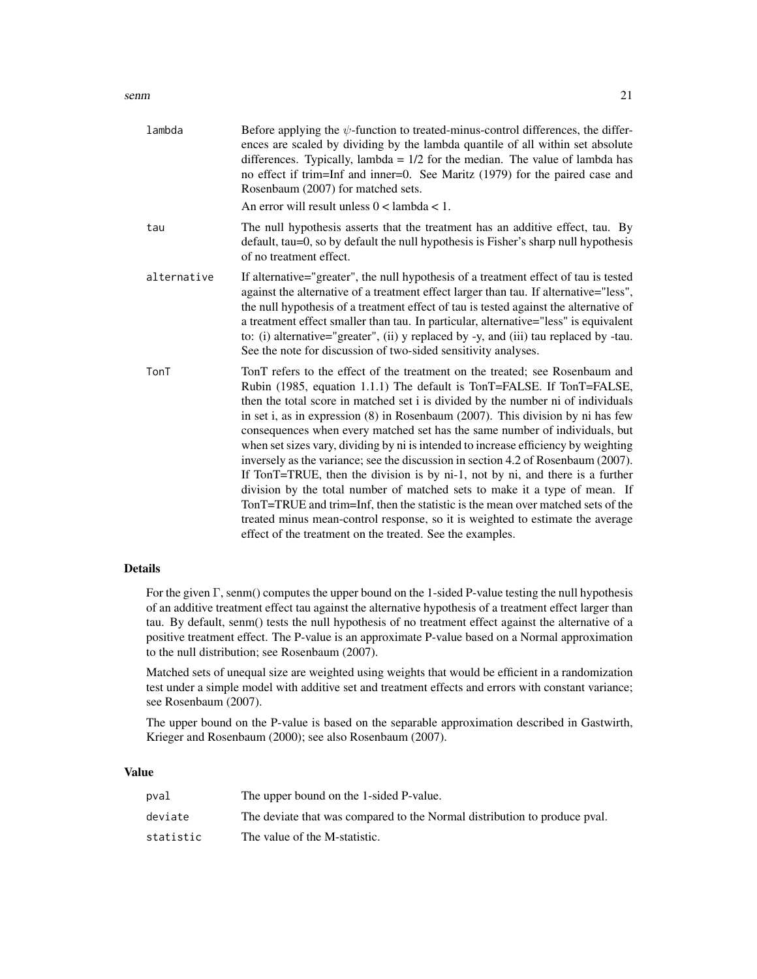# senm 21

| lambda      | Before applying the $\psi$ -function to treated-minus-control differences, the differ-<br>ences are scaled by dividing by the lambda quantile of all within set absolute<br>differences. Typically, lambda = $1/2$ for the median. The value of lambda has<br>no effect if trim=Inf and inner=0. See Maritz (1979) for the paired case and<br>Rosenbaum (2007) for matched sets.                                                                                                                                                                                                                                                                                                                                                                                                                                                                                                                                                                                                               |
|-------------|------------------------------------------------------------------------------------------------------------------------------------------------------------------------------------------------------------------------------------------------------------------------------------------------------------------------------------------------------------------------------------------------------------------------------------------------------------------------------------------------------------------------------------------------------------------------------------------------------------------------------------------------------------------------------------------------------------------------------------------------------------------------------------------------------------------------------------------------------------------------------------------------------------------------------------------------------------------------------------------------|
|             | An error will result unless $0 <$ lambda < 1.                                                                                                                                                                                                                                                                                                                                                                                                                                                                                                                                                                                                                                                                                                                                                                                                                                                                                                                                                  |
| tau         | The null hypothesis asserts that the treatment has an additive effect, tau. By<br>default, tau=0, so by default the null hypothesis is Fisher's sharp null hypothesis<br>of no treatment effect.                                                                                                                                                                                                                                                                                                                                                                                                                                                                                                                                                                                                                                                                                                                                                                                               |
| alternative | If alternative="greater", the null hypothesis of a treatment effect of tau is tested<br>against the alternative of a treatment effect larger than tau. If alternative="less",<br>the null hypothesis of a treatment effect of tau is tested against the alternative of<br>a treatment effect smaller than tau. In particular, alternative="less" is equivalent<br>to: (i) alternative="greater", (ii) y replaced by -y, and (iii) tau replaced by -tau.<br>See the note for discussion of two-sided sensitivity analyses.                                                                                                                                                                                                                                                                                                                                                                                                                                                                      |
| TonT        | TonT refers to the effect of the treatment on the treated; see Rosenbaum and<br>Rubin (1985, equation 1.1.1) The default is TonT=FALSE. If TonT=FALSE,<br>then the total score in matched set i is divided by the number ni of individuals<br>in set i, as in expression $(8)$ in Rosenbaum $(2007)$ . This division by ni has few<br>consequences when every matched set has the same number of individuals, but<br>when set sizes vary, dividing by ni is intended to increase efficiency by weighting<br>inversely as the variance; see the discussion in section 4.2 of Rosenbaum (2007).<br>If TonT=TRUE, then the division is by ni-1, not by ni, and there is a further<br>division by the total number of matched sets to make it a type of mean. If<br>TonT=TRUE and trim=Inf, then the statistic is the mean over matched sets of the<br>treated minus mean-control response, so it is weighted to estimate the average<br>effect of the treatment on the treated. See the examples. |

# Details

For the given Γ, senm() computes the upper bound on the 1-sided P-value testing the null hypothesis of an additive treatment effect tau against the alternative hypothesis of a treatment effect larger than tau. By default, senm() tests the null hypothesis of no treatment effect against the alternative of a positive treatment effect. The P-value is an approximate P-value based on a Normal approximation to the null distribution; see Rosenbaum (2007).

Matched sets of unequal size are weighted using weights that would be efficient in a randomization test under a simple model with additive set and treatment effects and errors with constant variance; see Rosenbaum (2007).

The upper bound on the P-value is based on the separable approximation described in Gastwirth, Krieger and Rosenbaum (2000); see also Rosenbaum (2007).

# Value

| pval      | The upper bound on the 1-sided P-value.                                   |
|-----------|---------------------------------------------------------------------------|
| deviate   | The deviate that was compared to the Normal distribution to produce pval. |
| statistic | The value of the M-statistic.                                             |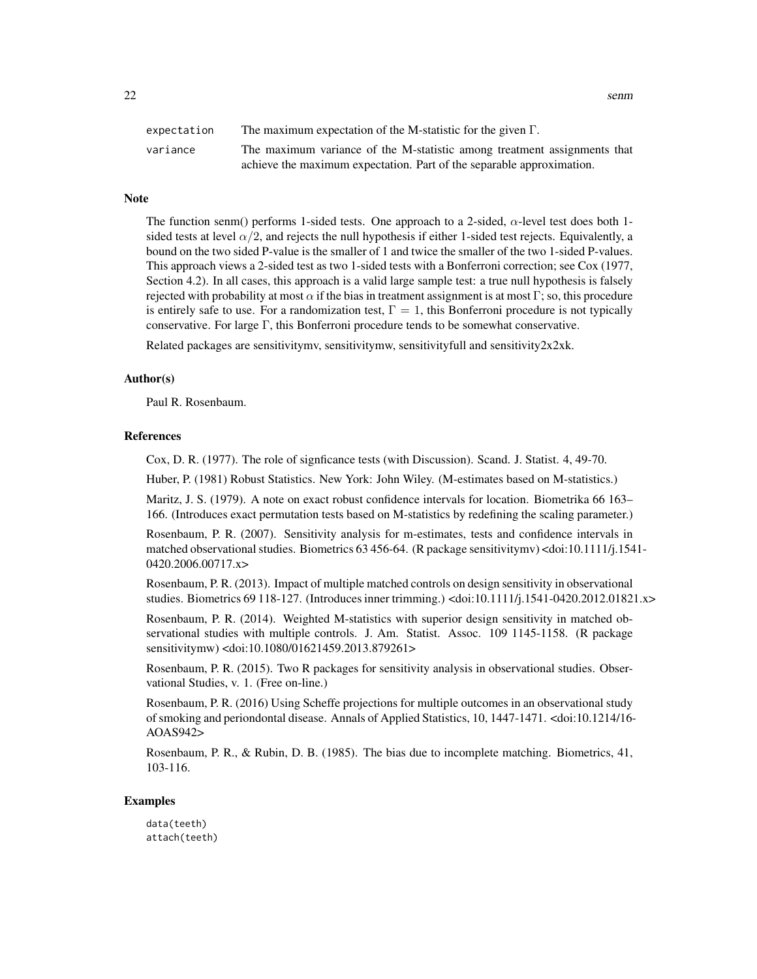$22$  senm

| expectation | The maximum expectation of the M-statistic for the given $\Gamma$ .      |
|-------------|--------------------------------------------------------------------------|
| variance    | The maximum variance of the M-statistic among treatment assignments that |
|             | achieve the maximum expectation. Part of the separable approximation.    |

# **Note**

The function senm() performs 1-sided tests. One approach to a 2-sided,  $\alpha$ -level test does both 1sided tests at level  $\alpha/2$ , and rejects the null hypothesis if either 1-sided test rejects. Equivalently, a bound on the two sided P-value is the smaller of 1 and twice the smaller of the two 1-sided P-values. This approach views a 2-sided test as two 1-sided tests with a Bonferroni correction; see Cox (1977, Section 4.2). In all cases, this approach is a valid large sample test: a true null hypothesis is falsely rejected with probability at most  $\alpha$  if the bias in treatment assignment is at most Γ; so, this procedure is entirely safe to use. For a randomization test,  $\Gamma = 1$ , this Bonferroni procedure is not typically conservative. For large Γ, this Bonferroni procedure tends to be somewhat conservative.

Related packages are sensitivitymv, sensitivitymv, sensitivityfull and sensitivity $2x2x$ k.

# Author(s)

Paul R. Rosenbaum.

#### References

Cox, D. R. (1977). The role of signficance tests (with Discussion). Scand. J. Statist. 4, 49-70.

Huber, P. (1981) Robust Statistics. New York: John Wiley. (M-estimates based on M-statistics.)

Maritz, J. S. (1979). A note on exact robust confidence intervals for location. Biometrika 66 163– 166. (Introduces exact permutation tests based on M-statistics by redefining the scaling parameter.)

Rosenbaum, P. R. (2007). Sensitivity analysis for m-estimates, tests and confidence intervals in matched observational studies. Biometrics 63 456-64. (R package sensitivitymv) <doi:10.1111/j.1541- 0420.2006.00717.x>

Rosenbaum, P. R. (2013). Impact of multiple matched controls on design sensitivity in observational studies. Biometrics 69 118-127. (Introduces inner trimming.) <doi:10.1111/j.1541-0420.2012.01821.x>

Rosenbaum, P. R. (2014). Weighted M-statistics with superior design sensitivity in matched observational studies with multiple controls. J. Am. Statist. Assoc. 109 1145-1158. (R package sensitivitymw) <doi:10.1080/01621459.2013.879261>

Rosenbaum, P. R. (2015). Two R packages for sensitivity analysis in observational studies. Observational Studies, v. 1. (Free on-line.)

Rosenbaum, P. R. (2016) Using Scheffe projections for multiple outcomes in an observational study of smoking and periondontal disease. Annals of Applied Statistics, 10, 1447-1471. <doi:10.1214/16- AOAS942>

Rosenbaum, P. R., & Rubin, D. B. (1985). The bias due to incomplete matching. Biometrics, 41, 103-116.

# Examples

data(teeth) attach(teeth)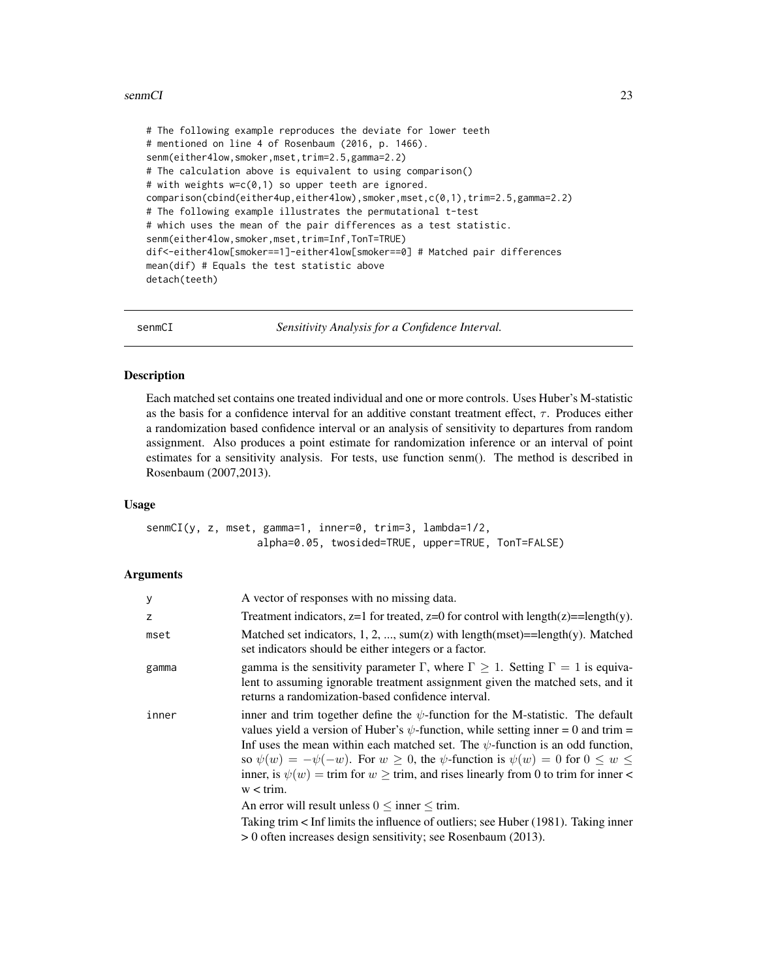# <span id="page-22-0"></span>senmCI 23

# The following example reproduces the deviate for lower teeth # mentioned on line 4 of Rosenbaum (2016, p. 1466). senm(either4low,smoker,mset,trim=2.5,gamma=2.2) # The calculation above is equivalent to using comparison() # with weights w=c(0,1) so upper teeth are ignored. comparison(cbind(either4up,either4low),smoker,mset,c(0,1),trim=2.5,gamma=2.2) # The following example illustrates the permutational t-test # which uses the mean of the pair differences as a test statistic. senm(either4low,smoker,mset,trim=Inf,TonT=TRUE) dif<-either4low[smoker==1]-either4low[smoker==0] # Matched pair differences mean(dif) # Equals the test statistic above detach(teeth)

senmCI *Sensitivity Analysis for a Confidence Interval.*

# **Description**

Each matched set contains one treated individual and one or more controls. Uses Huber's M-statistic as the basis for a confidence interval for an additive constant treatment effect,  $\tau$ . Produces either a randomization based confidence interval or an analysis of sensitivity to departures from random assignment. Also produces a point estimate for randomization inference or an interval of point estimates for a sensitivity analysis. For tests, use function senm(). The method is described in Rosenbaum (2007,2013).

# Usage

senmCI(y, z, mset, gamma=1, inner=0, trim=3, lambda=1/2, alpha=0.05, twosided=TRUE, upper=TRUE, TonT=FALSE)

# Arguments

| y     | A vector of responses with no missing data.                                                                                                                                                                                                                                                                                                                                                                                                                                                                      |
|-------|------------------------------------------------------------------------------------------------------------------------------------------------------------------------------------------------------------------------------------------------------------------------------------------------------------------------------------------------------------------------------------------------------------------------------------------------------------------------------------------------------------------|
| z     | Treatment indicators, $z=1$ for treated, $z=0$ for control with length(z)==length(y).                                                                                                                                                                                                                                                                                                                                                                                                                            |
| mset  | Matched set indicators, 1, 2, , sum(z) with length(mset)==length(y). Matched<br>set indicators should be either integers or a factor.                                                                                                                                                                                                                                                                                                                                                                            |
| gamma | gamma is the sensitivity parameter $\Gamma$ , where $\Gamma \geq 1$ . Setting $\Gamma = 1$ is equiva-<br>lent to assuming ignorable treatment assignment given the matched sets, and it<br>returns a randomization-based confidence interval.                                                                                                                                                                                                                                                                    |
| inner | inner and trim together define the $\psi$ -function for the M-statistic. The default<br>values yield a version of Huber's $\psi$ -function, while setting inner = 0 and trim =<br>Inf uses the mean within each matched set. The $\psi$ -function is an odd function,<br>so $\psi(w) = -\psi(-w)$ . For $w \ge 0$ , the $\psi$ -function is $\psi(w) = 0$ for $0 \le w \le 1$<br>inner, is $\psi(w) = \text{trim}$ for $w \ge \text{trim}$ , and rises linearly from 0 to trim for inner <<br>$w < \text{trim.}$ |
|       | An error will result unless $0 \leq$ inner $\leq$ trim.                                                                                                                                                                                                                                                                                                                                                                                                                                                          |
|       | Taking trim < Inf limits the influence of outliers; see Huber (1981). Taking inner                                                                                                                                                                                                                                                                                                                                                                                                                               |
|       | > 0 often increases design sensitivity; see Rosenbaum (2013).                                                                                                                                                                                                                                                                                                                                                                                                                                                    |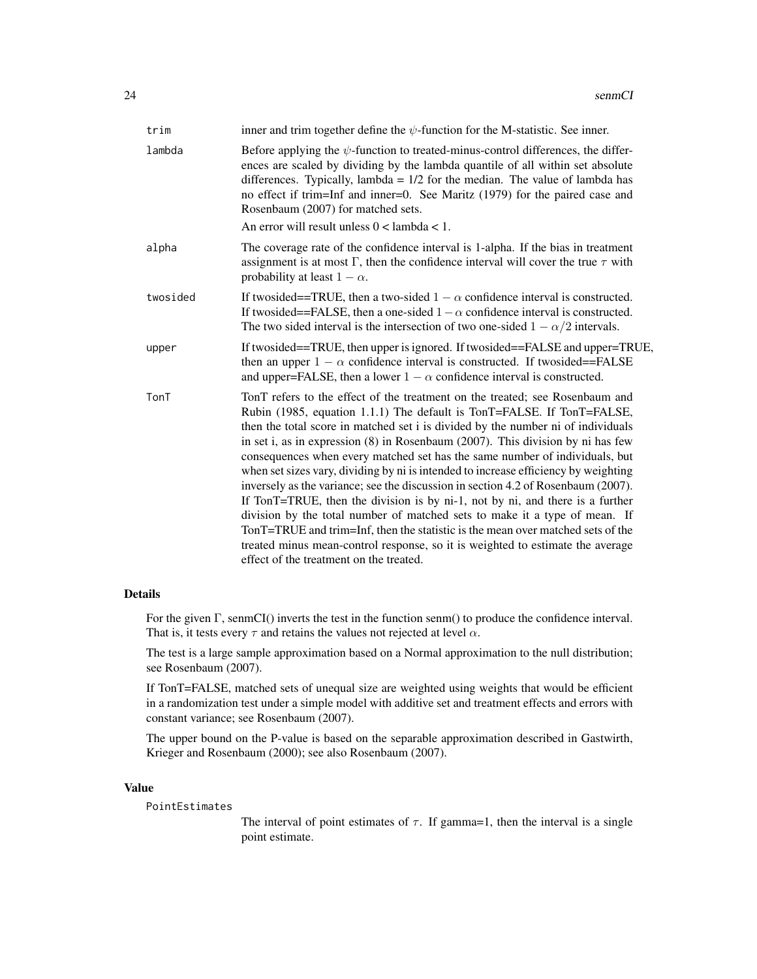| trim     | inner and trim together define the $\psi$ -function for the M-statistic. See inner.                                                                                                                                                                                                                                                                                                                                                                                                                                                                                                                                                                                                                                                                                                                                                                                                                                                                                     |
|----------|-------------------------------------------------------------------------------------------------------------------------------------------------------------------------------------------------------------------------------------------------------------------------------------------------------------------------------------------------------------------------------------------------------------------------------------------------------------------------------------------------------------------------------------------------------------------------------------------------------------------------------------------------------------------------------------------------------------------------------------------------------------------------------------------------------------------------------------------------------------------------------------------------------------------------------------------------------------------------|
| lambda   | Before applying the $\psi$ -function to treated-minus-control differences, the differ-<br>ences are scaled by dividing by the lambda quantile of all within set absolute<br>differences. Typically, lambda = $1/2$ for the median. The value of lambda has<br>no effect if trim=Inf and inner=0. See Maritz (1979) for the paired case and<br>Rosenbaum (2007) for matched sets.                                                                                                                                                                                                                                                                                                                                                                                                                                                                                                                                                                                        |
|          | An error will result unless $0 <$ lambda $< 1$ .                                                                                                                                                                                                                                                                                                                                                                                                                                                                                                                                                                                                                                                                                                                                                                                                                                                                                                                        |
| alpha    | The coverage rate of the confidence interval is 1-alpha. If the bias in treatment<br>assignment is at most $\Gamma$ , then the confidence interval will cover the true $\tau$ with<br>probability at least $1 - \alpha$ .                                                                                                                                                                                                                                                                                                                                                                                                                                                                                                                                                                                                                                                                                                                                               |
| twosided | If two sided = TRUE, then a two-sided $1 - \alpha$ confidence interval is constructed.<br>If two sided == FALSE, then a one-sided $1 - \alpha$ confidence interval is constructed.<br>The two sided interval is the intersection of two one-sided $1 - \alpha/2$ intervals.                                                                                                                                                                                                                                                                                                                                                                                                                                                                                                                                                                                                                                                                                             |
| upper    | If twosided==TRUE, then upper is ignored. If twosided==FALSE and upper=TRUE,<br>then an upper $1 - \alpha$ confidence interval is constructed. If two sided==FALSE<br>and upper=FALSE, then a lower $1 - \alpha$ confidence interval is constructed.                                                                                                                                                                                                                                                                                                                                                                                                                                                                                                                                                                                                                                                                                                                    |
| TonT     | TonT refers to the effect of the treatment on the treated; see Rosenbaum and<br>Rubin (1985, equation 1.1.1) The default is TonT=FALSE. If TonT=FALSE,<br>then the total score in matched set i is divided by the number ni of individuals<br>in set i, as in expression (8) in Rosenbaum (2007). This division by ni has few<br>consequences when every matched set has the same number of individuals, but<br>when set sizes vary, dividing by ni is intended to increase efficiency by weighting<br>inversely as the variance; see the discussion in section 4.2 of Rosenbaum (2007).<br>If TonT=TRUE, then the division is by ni-1, not by ni, and there is a further<br>division by the total number of matched sets to make it a type of mean. If<br>TonT=TRUE and trim=Inf, then the statistic is the mean over matched sets of the<br>treated minus mean-control response, so it is weighted to estimate the average<br>effect of the treatment on the treated. |

# Details

For the given Γ, senmCI() inverts the test in the function senm() to produce the confidence interval. That is, it tests every  $\tau$  and retains the values not rejected at level  $\alpha$ .

The test is a large sample approximation based on a Normal approximation to the null distribution; see Rosenbaum (2007).

If TonT=FALSE, matched sets of unequal size are weighted using weights that would be efficient in a randomization test under a simple model with additive set and treatment effects and errors with constant variance; see Rosenbaum (2007).

The upper bound on the P-value is based on the separable approximation described in Gastwirth, Krieger and Rosenbaum (2000); see also Rosenbaum (2007).

# Value

PointEstimates

The interval of point estimates of  $\tau$ . If gamma=1, then the interval is a single point estimate.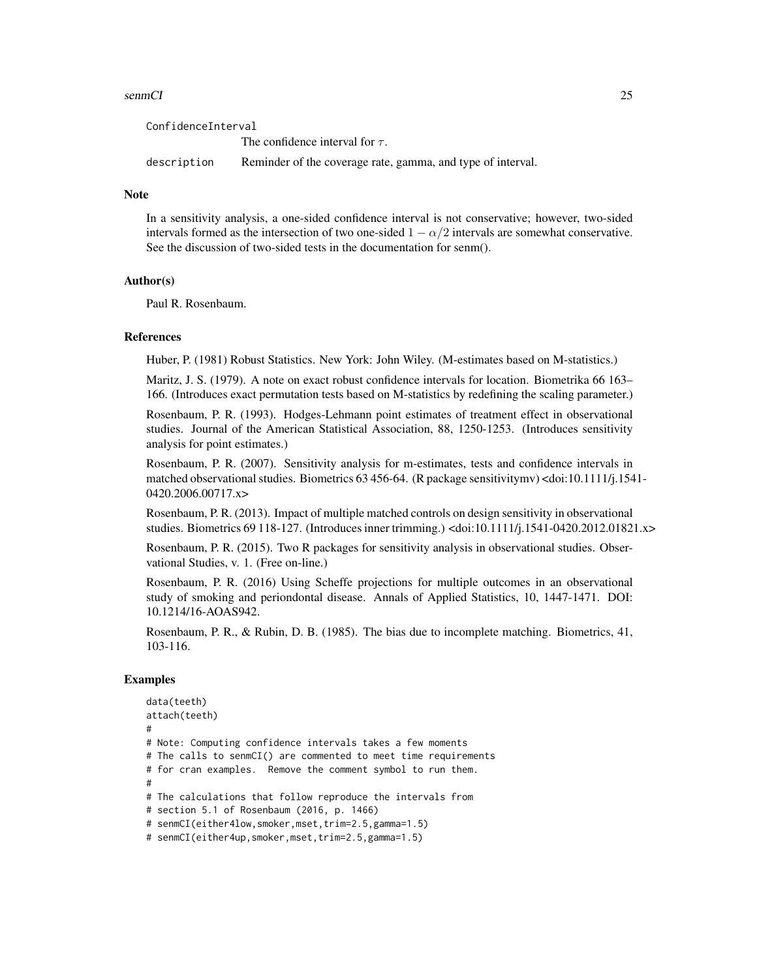# senmCI 25

ConfidenceInterval The confidence interval for  $\tau$ . description Reminder of the coverage rate, gamma, and type of interval.

# Note

In a sensitivity analysis, a one-sided confidence interval is not conservative; however, two-sided intervals formed as the intersection of two one-sided  $1 - \alpha/2$  intervals are somewhat conservative. See the discussion of two-sided tests in the documentation for senm().

# Author(s)

Paul R. Rosenbaum.

# References

Huber, P. (1981) Robust Statistics. New York: John Wiley. (M-estimates based on M-statistics.)

Maritz, J. S. (1979). A note on exact robust confidence intervals for location. Biometrika 66 163– 166. (Introduces exact permutation tests based on M-statistics by redefining the scaling parameter.)

Rosenbaum, P. R. (1993). Hodges-Lehmann point estimates of treatment effect in observational studies. Journal of the American Statistical Association, 88, 1250-1253. (Introduces sensitivity analysis for point estimates.)

Rosenbaum, P. R. (2007). Sensitivity analysis for m-estimates, tests and confidence intervals in matched observational studies. Biometrics 63 456-64. (R package sensitivitymv) <doi:10.1111/j.1541- 0420.2006.00717.x>

Rosenbaum, P. R. (2013). Impact of multiple matched controls on design sensitivity in observational studies. Biometrics 69 118-127. (Introduces inner trimming.) <doi:10.1111/j.1541-0420.2012.01821.x>

Rosenbaum, P. R. (2015). Two R packages for sensitivity analysis in observational studies. Observational Studies, v. 1. (Free on-line.)

Rosenbaum, P. R. (2016) Using Scheffe projections for multiple outcomes in an observational study of smoking and periondontal disease. Annals of Applied Statistics, 10, 1447-1471. DOI: 10.1214/16-AOAS942.

Rosenbaum, P. R., & Rubin, D. B. (1985). The bias due to incomplete matching. Biometrics, 41, 103-116.

# Examples

```
data(teeth)
attach(teeth)
#
# Note: Computing confidence intervals takes a few moments
# The calls to senmCI() are commented to meet time requirements
# for cran examples. Remove the comment symbol to run them.
#
# The calculations that follow reproduce the intervals from
# section 5.1 of Rosenbaum (2016, p. 1466)
# senmCI(either4low,smoker,mset,trim=2.5,gamma=1.5)
# senmCI(either4up,smoker,mset,trim=2.5,gamma=1.5)
```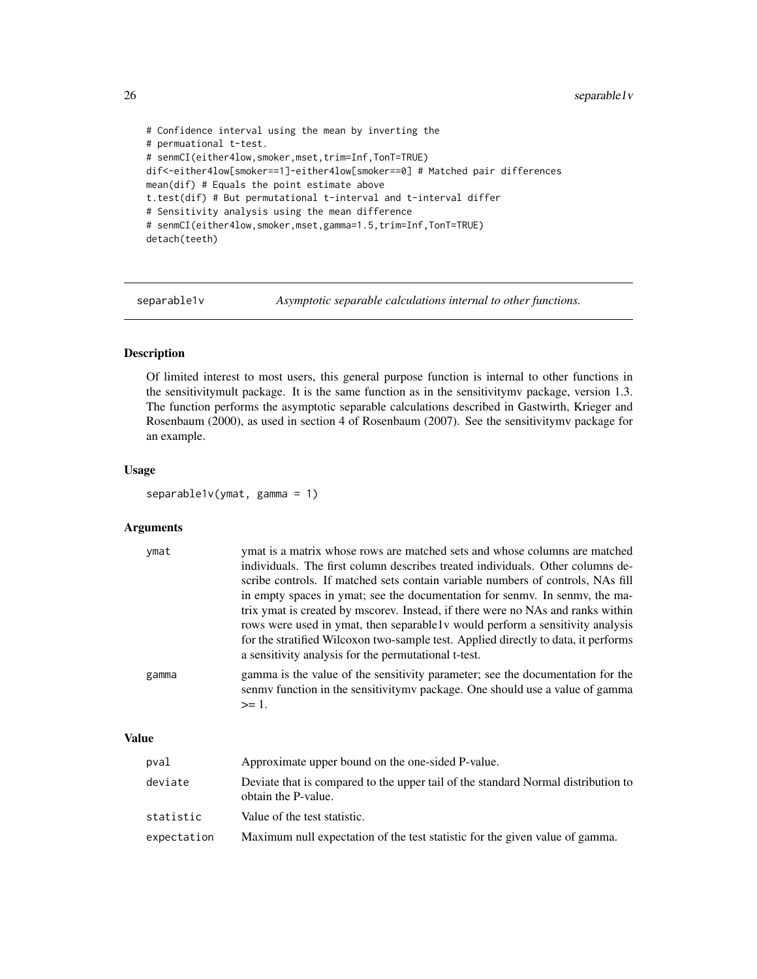```
# Confidence interval using the mean by inverting the
# permuational t-test.
# senmCI(either4low,smoker,mset,trim=Inf,TonT=TRUE)
dif<-either4low[smoker==1]-either4low[smoker==0] # Matched pair differences
mean(dif) # Equals the point estimate above
t.test(dif) # But permutational t-interval and t-interval differ
# Sensitivity analysis using the mean difference
# senmCI(either4low,smoker,mset,gamma=1.5,trim=Inf,TonT=TRUE)
detach(teeth)
```
separable1v *Asymptotic separable calculations internal to other functions.*

# Description

Of limited interest to most users, this general purpose function is internal to other functions in the sensitivitymult package. It is the same function as in the sensitivitymv package, version 1.3. The function performs the asymptotic separable calculations described in Gastwirth, Krieger and Rosenbaum (2000), as used in section 4 of Rosenbaum (2007). See the sensitivitymv package for an example.

# Usage

separable1v(ymat, gamma = 1)

# **Arguments**

| gamma<br>$>= 1.$ | ymat | ymat is a matrix whose rows are matched sets and whose columns are matched<br>individuals. The first column describes treated individuals. Other columns de-<br>scribe controls. If matched sets contain variable numbers of controls, NAs fill<br>in empty spaces in ymat; see the documentation for senmy. In senmy, the ma-<br>trix ymat is created by mscorev. Instead, if there were no NAs and ranks within<br>rows were used in ymat, then separable1v would perform a sensitivity analysis<br>for the stratified Wilcoxon two-sample test. Applied directly to data, it performs<br>a sensitivity analysis for the permutational t-test. |
|------------------|------|--------------------------------------------------------------------------------------------------------------------------------------------------------------------------------------------------------------------------------------------------------------------------------------------------------------------------------------------------------------------------------------------------------------------------------------------------------------------------------------------------------------------------------------------------------------------------------------------------------------------------------------------------|
|                  |      | gamma is the value of the sensitivity parameter; see the documentation for the<br>senmy function in the sensitivity my package. One should use a value of gamma                                                                                                                                                                                                                                                                                                                                                                                                                                                                                  |

# Value

| pval        | Approximate upper bound on the one-sided P-value.                                                        |
|-------------|----------------------------------------------------------------------------------------------------------|
| deviate     | Deviate that is compared to the upper tail of the standard Normal distribution to<br>obtain the P-value. |
| statistic   | Value of the test statistic.                                                                             |
| expectation | Maximum null expectation of the test statistic for the given value of gamma.                             |

<span id="page-25-0"></span>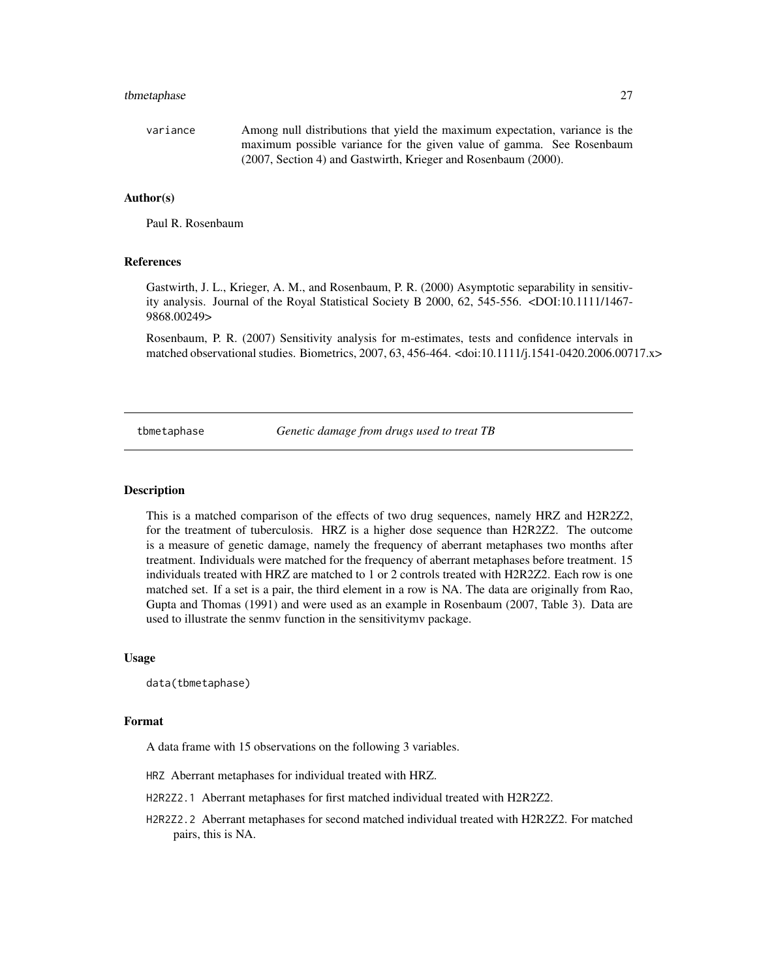# <span id="page-26-0"></span>tbmetaphase 27

variance Among null distributions that yield the maximum expectation, variance is the maximum possible variance for the given value of gamma. See Rosenbaum (2007, Section 4) and Gastwirth, Krieger and Rosenbaum (2000).

# Author(s)

Paul R. Rosenbaum

# References

Gastwirth, J. L., Krieger, A. M., and Rosenbaum, P. R. (2000) Asymptotic separability in sensitivity analysis. Journal of the Royal Statistical Society B 2000, 62, 545-556. <DOI:10.1111/1467- 9868.00249>

Rosenbaum, P. R. (2007) Sensitivity analysis for m-estimates, tests and confidence intervals in matched observational studies. Biometrics, 2007, 63, 456-464. <doi:10.1111/j.1541-0420.2006.00717.x>

tbmetaphase *Genetic damage from drugs used to treat TB*

## **Description**

This is a matched comparison of the effects of two drug sequences, namely HRZ and H2R2Z2, for the treatment of tuberculosis. HRZ is a higher dose sequence than H2R2Z2. The outcome is a measure of genetic damage, namely the frequency of aberrant metaphases two months after treatment. Individuals were matched for the frequency of aberrant metaphases before treatment. 15 individuals treated with HRZ are matched to 1 or 2 controls treated with H2R2Z2. Each row is one matched set. If a set is a pair, the third element in a row is NA. The data are originally from Rao, Gupta and Thomas (1991) and were used as an example in Rosenbaum (2007, Table 3). Data are used to illustrate the senmv function in the sensitivitymv package.

# Usage

data(tbmetaphase)

# Format

A data frame with 15 observations on the following 3 variables.

HRZ Aberrant metaphases for individual treated with HRZ.

H2R2Z2.1 Aberrant metaphases for first matched individual treated with H2R2Z2.

H2R2Z2.2 Aberrant metaphases for second matched individual treated with H2R2Z2. For matched pairs, this is NA.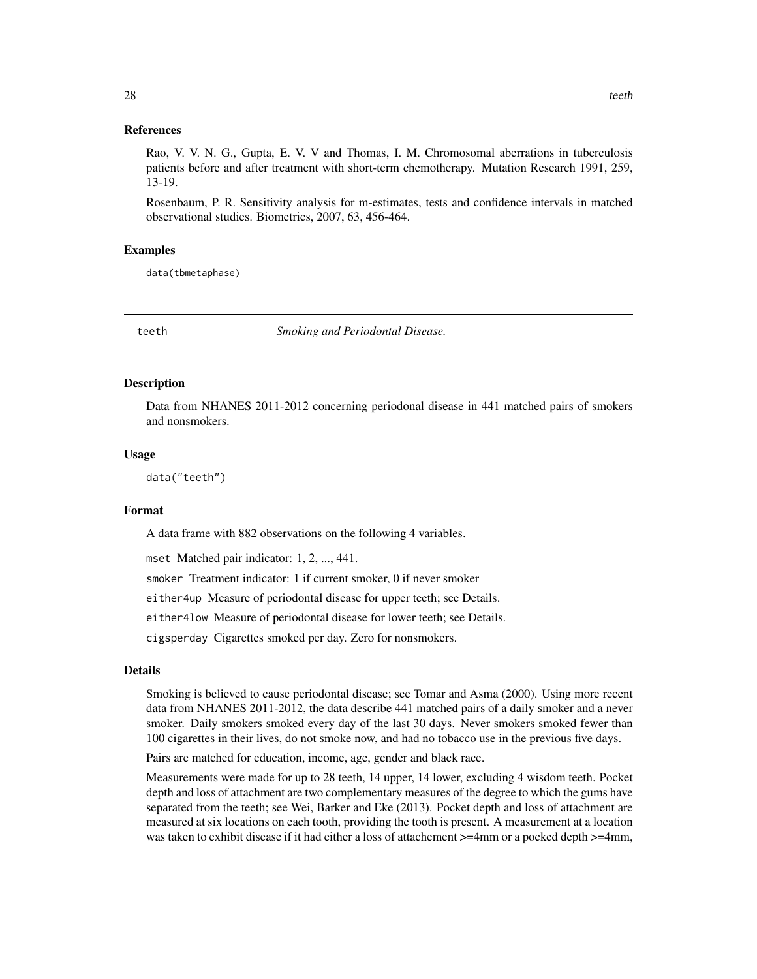# <span id="page-27-0"></span>References

Rao, V. V. N. G., Gupta, E. V. V and Thomas, I. M. Chromosomal aberrations in tuberculosis patients before and after treatment with short-term chemotherapy. Mutation Research 1991, 259, 13-19.

Rosenbaum, P. R. Sensitivity analysis for m-estimates, tests and confidence intervals in matched observational studies. Biometrics, 2007, 63, 456-464.

# Examples

data(tbmetaphase)

teeth *Smoking and Periodontal Disease.*

#### **Description**

Data from NHANES 2011-2012 concerning periodonal disease in 441 matched pairs of smokers and nonsmokers.

# Usage

data("teeth")

# Format

A data frame with 882 observations on the following 4 variables.

mset Matched pair indicator: 1, 2, ..., 441.

smoker Treatment indicator: 1 if current smoker, 0 if never smoker

either4up Measure of periodontal disease for upper teeth; see Details.

either4low Measure of periodontal disease for lower teeth; see Details.

cigsperday Cigarettes smoked per day. Zero for nonsmokers.

# Details

Smoking is believed to cause periodontal disease; see Tomar and Asma (2000). Using more recent data from NHANES 2011-2012, the data describe 441 matched pairs of a daily smoker and a never smoker. Daily smokers smoked every day of the last 30 days. Never smokers smoked fewer than 100 cigarettes in their lives, do not smoke now, and had no tobacco use in the previous five days.

Pairs are matched for education, income, age, gender and black race.

Measurements were made for up to 28 teeth, 14 upper, 14 lower, excluding 4 wisdom teeth. Pocket depth and loss of attachment are two complementary measures of the degree to which the gums have separated from the teeth; see Wei, Barker and Eke (2013). Pocket depth and loss of attachment are measured at six locations on each tooth, providing the tooth is present. A measurement at a location was taken to exhibit disease if it had either a loss of attachement  $>=$  4mm or a pocked depth  $>=$  4mm,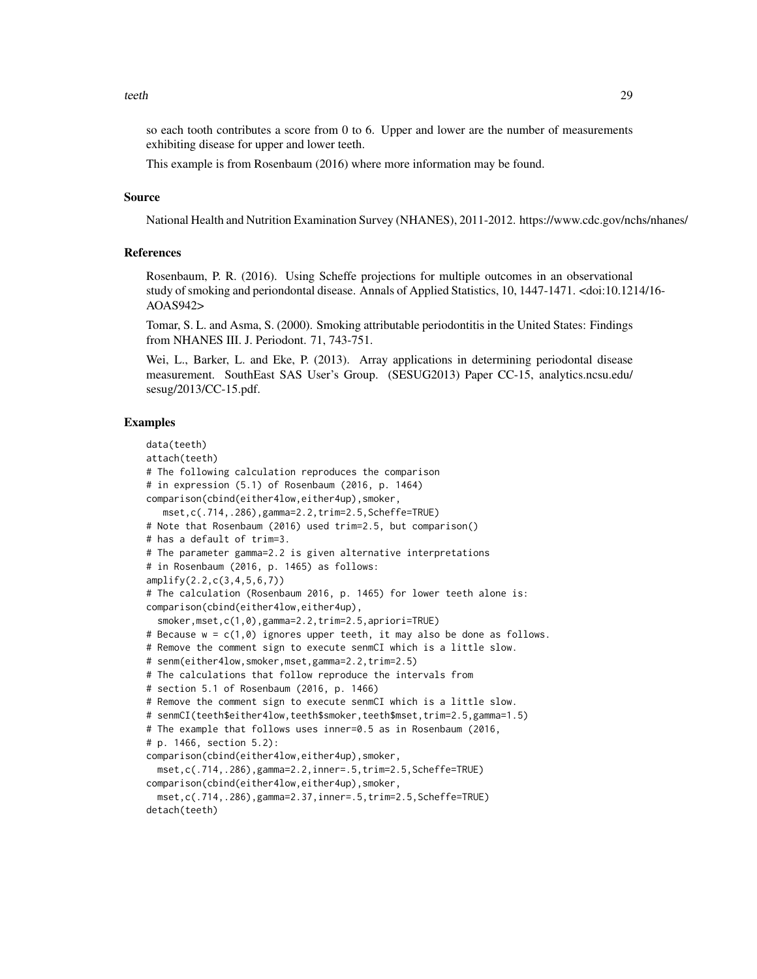so each tooth contributes a score from 0 to 6. Upper and lower are the number of measurements exhibiting disease for upper and lower teeth.

This example is from Rosenbaum (2016) where more information may be found.

# Source

National Health and Nutrition Examination Survey (NHANES), 2011-2012. https://www.cdc.gov/nchs/nhanes/

# References

Rosenbaum, P. R. (2016). Using Scheffe projections for multiple outcomes in an observational study of smoking and periondontal disease. Annals of Applied Statistics, 10, 1447-1471. <doi:10.1214/16- AOAS942>

Tomar, S. L. and Asma, S. (2000). Smoking attributable periodontitis in the United States: Findings from NHANES III. J. Periodont. 71, 743-751.

Wei, L., Barker, L. and Eke, P. (2013). Array applications in determining periodontal disease measurement. SouthEast SAS User's Group. (SESUG2013) Paper CC-15, analytics.ncsu.edu/ sesug/2013/CC-15.pdf.

# Examples

```
data(teeth)
attach(teeth)
# The following calculation reproduces the comparison
# in expression (5.1) of Rosenbaum (2016, p. 1464)
comparison(cbind(either4low,either4up),smoker,
  mset,c(.714,.286),gamma=2.2,trim=2.5,Scheffe=TRUE)
# Note that Rosenbaum (2016) used trim=2.5, but comparison()
# has a default of trim=3.
# The parameter gamma=2.2 is given alternative interpretations
# in Rosenbaum (2016, p. 1465) as follows:
amplify(2.2,c(3,4,5,6,7))
# The calculation (Rosenbaum 2016, p. 1465) for lower teeth alone is:
comparison(cbind(either4low,either4up),
  smoker,mset,c(1,0),gamma=2.2,trim=2.5,apriori=TRUE)
# Because w = c(1,0) ignores upper teeth, it may also be done as follows.
# Remove the comment sign to execute senmCI which is a little slow.
# senm(either4low,smoker,mset,gamma=2.2,trim=2.5)
# The calculations that follow reproduce the intervals from
# section 5.1 of Rosenbaum (2016, p. 1466)
# Remove the comment sign to execute senmCI which is a little slow.
# senmCI(teeth$either4low,teeth$smoker,teeth$mset,trim=2.5,gamma=1.5)
# The example that follows uses inner=0.5 as in Rosenbaum (2016,
# p. 1466, section 5.2):
comparison(cbind(either4low,either4up),smoker,
 mset,c(.714,.286),gamma=2.2,inner=.5,trim=2.5,Scheffe=TRUE)
comparison(cbind(either4low,either4up),smoker,
 mset,c(.714,.286),gamma=2.37,inner=.5,trim=2.5,Scheffe=TRUE)
detach(teeth)
```